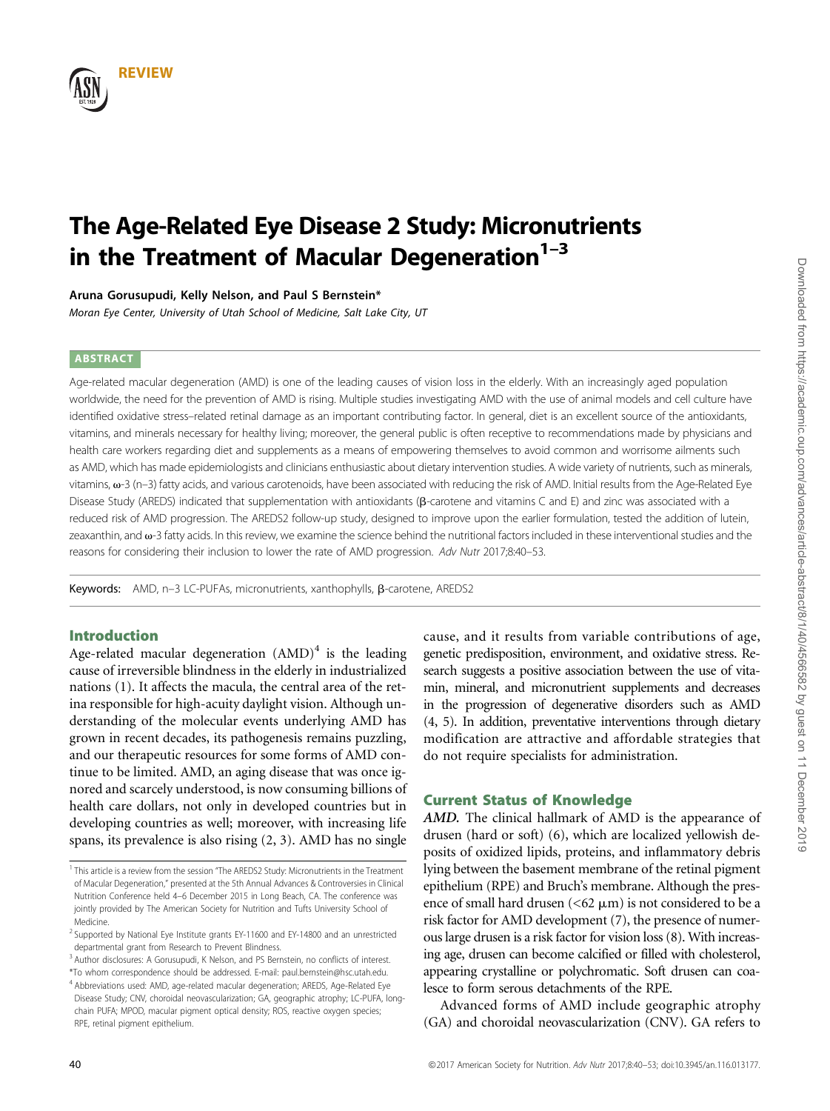

# The Age-Related Eye Disease 2 Study: Micronutrients in the Treatment of Macular Degeneration $1-3$

Aruna Gorusupudi, Kelly Nelson, and Paul S Bernstein\*

Moran Eye Center, University of Utah School of Medicine, Salt Lake City, UT

### ABSTRACT

Age-related macular degeneration (AMD) is one of the leading causes of vision loss in the elderly. With an increasingly aged population worldwide, the need for the prevention of AMD is rising. Multiple studies investigating AMD with the use of animal models and cell culture have identified oxidative stress–related retinal damage as an important contributing factor. In general, diet is an excellent source of the antioxidants, vitamins, and minerals necessary for healthy living; moreover, the general public is often receptive to recommendations made by physicians and health care workers regarding diet and supplements as a means of empowering themselves to avoid common and worrisome ailments such as AMD, which has made epidemiologists and clinicians enthusiastic about dietary intervention studies. A wide variety of nutrients, such as minerals, vitamins,  $\omega$ -3 (n-3) fatty acids, and various carotenoids, have been associated with reducing the risk of AMD. Initial results from the Age-Related Eye Disease Study (AREDS) indicated that supplementation with antioxidants (B-carotene and vitamins C and E) and zinc was associated with a reduced risk of AMD progression. The AREDS2 follow-up study, designed to improve upon the earlier formulation, tested the addition of lutein, zeaxanthin, and v-3 fatty acids. In this review, we examine the science behind the nutritional factors included in these interventional studies and the reasons for considering their inclusion to lower the rate of AMD progression. Adv Nutr 2017;8:40–53.

Keywords: AMD, n-3 LC-PUFAs, micronutrients, xanthophylls,  $\beta$ -carotene, AREDS2

# Introduction

Age-related macular degeneration  $(AMD)^4$  is the leading cause of irreversible blindness in the elderly in industrialized nations (1). It affects the macula, the central area of the retina responsible for high-acuity daylight vision. Although understanding of the molecular events underlying AMD has grown in recent decades, its pathogenesis remains puzzling, and our therapeutic resources for some forms of AMD continue to be limited. AMD, an aging disease that was once ignored and scarcely understood, is now consuming billions of health care dollars, not only in developed countries but in developing countries as well; moreover, with increasing life spans, its prevalence is also rising (2, 3). AMD has no single

cause, and it results from variable contributions of age, genetic predisposition, environment, and oxidative stress. Research suggests a positive association between the use of vitamin, mineral, and micronutrient supplements and decreases in the progression of degenerative disorders such as AMD (4, 5). In addition, preventative interventions through dietary modification are attractive and affordable strategies that do not require specialists for administration.

## Current Status of Knowledge

AMD. The clinical hallmark of AMD is the appearance of drusen (hard or soft) (6), which are localized yellowish deposits of oxidized lipids, proteins, and inflammatory debris lying between the basement membrane of the retinal pigment epithelium (RPE) and Bruch's membrane. Although the presence of small hard drusen ( $<$  62  $\mu$ m) is not considered to be a risk factor for AMD development (7), the presence of numerous large drusen is a risk factor for vision loss (8). With increasing age, drusen can become calcified or filled with cholesterol, appearing crystalline or polychromatic. Soft drusen can coalesce to form serous detachments of the RPE.

Advanced forms of AMD include geographic atrophy (GA) and choroidal neovascularization (CNV). GA refers to

<sup>&</sup>lt;sup>1</sup> This article is a review from the session "The AREDS2 Study: Micronutrients in the Treatment of Macular Degeneration," presented at the 5th Annual Advances & Controversies in Clinical Nutrition Conference held 4–6 December 2015 in Long Beach, CA. The conference was jointly provided by The American Society for Nutrition and Tufts University School of Medicine.

<sup>&</sup>lt;sup>2</sup> Supported by National Eye Institute grants EY-11600 and EY-14800 and an unrestricted departmental grant from Research to Prevent Blindness.

<sup>&</sup>lt;sup>3</sup> Author disclosures: A Gorusupudi, K Nelson, and PS Bernstein, no conflicts of interest.

<sup>\*</sup>To whom correspondence should be addressed. E-mail: paul.bernstein@hsc.utah.edu. <sup>4</sup> Abbreviations used: AMD, age-related macular degeneration; AREDS, Age-Related Eye Disease Study; CNV, choroidal neovascularization; GA, geographic atrophy; LC-PUFA, longchain PUFA; MPOD, macular pigment optical density; ROS, reactive oxygen species; RPE, retinal pigment epithelium.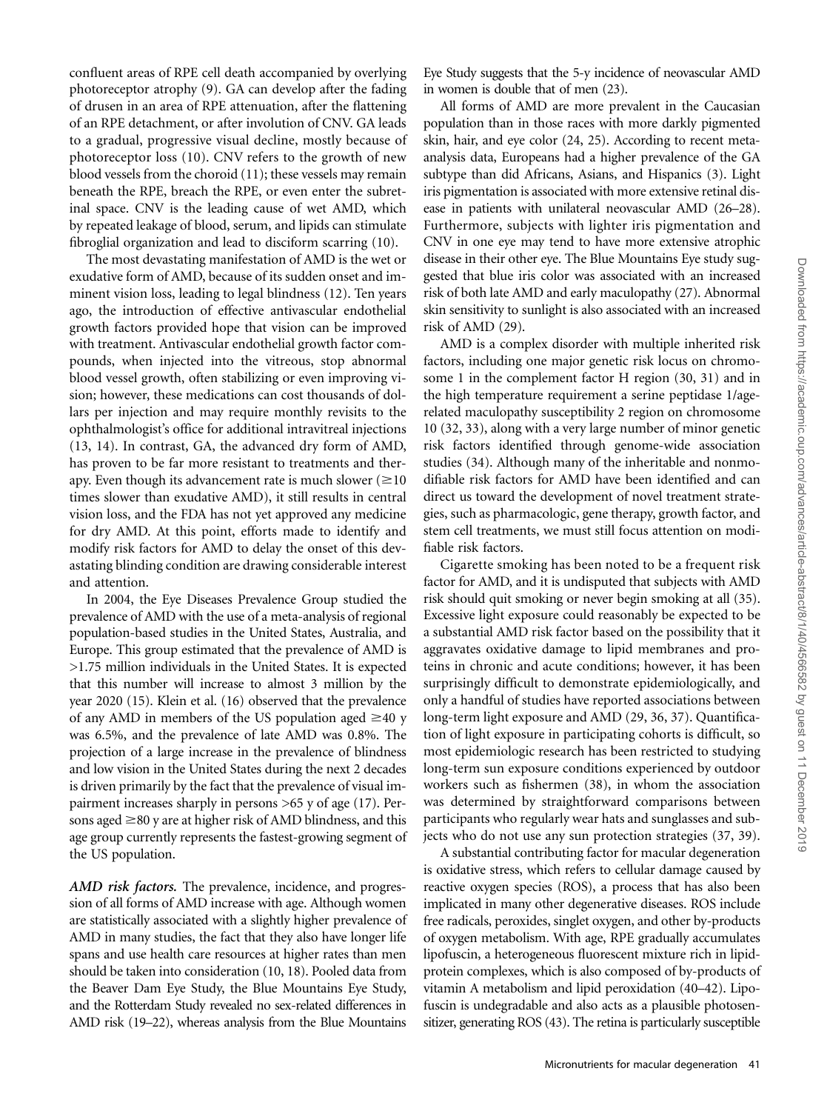confluent areas of RPE cell death accompanied by overlying photoreceptor atrophy (9). GA can develop after the fading of drusen in an area of RPE attenuation, after the flattening of an RPE detachment, or after involution of CNV. GA leads to a gradual, progressive visual decline, mostly because of photoreceptor loss (10). CNV refers to the growth of new blood vessels from the choroid (11); these vessels may remain beneath the RPE, breach the RPE, or even enter the subretinal space. CNV is the leading cause of wet AMD, which by repeated leakage of blood, serum, and lipids can stimulate fibroglial organization and lead to disciform scarring (10).

The most devastating manifestation of AMD is the wet or exudative form of AMD, because of its sudden onset and imminent vision loss, leading to legal blindness (12). Ten years ago, the introduction of effective antivascular endothelial growth factors provided hope that vision can be improved with treatment. Antivascular endothelial growth factor compounds, when injected into the vitreous, stop abnormal blood vessel growth, often stabilizing or even improving vision; however, these medications can cost thousands of dollars per injection and may require monthly revisits to the ophthalmologist's office for additional intravitreal injections (13, 14). In contrast, GA, the advanced dry form of AMD, has proven to be far more resistant to treatments and therapy. Even though its advancement rate is much slower ( $\geq 10$ ) times slower than exudative AMD), it still results in central vision loss, and the FDA has not yet approved any medicine for dry AMD. At this point, efforts made to identify and modify risk factors for AMD to delay the onset of this devastating blinding condition are drawing considerable interest and attention.

In 2004, the Eye Diseases Prevalence Group studied the prevalence of AMD with the use of a meta-analysis of regional population-based studies in the United States, Australia, and Europe. This group estimated that the prevalence of AMD is >1.75 million individuals in the United States. It is expected that this number will increase to almost 3 million by the year 2020 (15). Klein et al. (16) observed that the prevalence of any AMD in members of the US population aged  $\geq$ 40 y was 6.5%, and the prevalence of late AMD was 0.8%. The projection of a large increase in the prevalence of blindness and low vision in the United States during the next 2 decades is driven primarily by the fact that the prevalence of visual impairment increases sharply in persons >65 y of age (17). Persons aged  $\geq$ 80 y are at higher risk of AMD blindness, and this age group currently represents the fastest-growing segment of the US population.

AMD risk factors. The prevalence, incidence, and progression of all forms of AMD increase with age. Although women are statistically associated with a slightly higher prevalence of AMD in many studies, the fact that they also have longer life spans and use health care resources at higher rates than men should be taken into consideration (10, 18). Pooled data from the Beaver Dam Eye Study, the Blue Mountains Eye Study, and the Rotterdam Study revealed no sex-related differences in AMD risk (19–22), whereas analysis from the Blue Mountains

Eye Study suggests that the 5-y incidence of neovascular AMD in women is double that of men (23).

All forms of AMD are more prevalent in the Caucasian population than in those races with more darkly pigmented skin, hair, and eye color (24, 25). According to recent metaanalysis data, Europeans had a higher prevalence of the GA subtype than did Africans, Asians, and Hispanics (3). Light iris pigmentation is associated with more extensive retinal disease in patients with unilateral neovascular AMD (26–28). Furthermore, subjects with lighter iris pigmentation and CNV in one eye may tend to have more extensive atrophic disease in their other eye. The Blue Mountains Eye study suggested that blue iris color was associated with an increased risk of both late AMD and early maculopathy (27). Abnormal skin sensitivity to sunlight is also associated with an increased risk of AMD (29).

AMD is a complex disorder with multiple inherited risk factors, including one major genetic risk locus on chromosome 1 in the complement factor H region (30, 31) and in the high temperature requirement a serine peptidase 1/agerelated maculopathy susceptibility 2 region on chromosome 10 (32, 33), along with a very large number of minor genetic risk factors identified through genome-wide association studies (34). Although many of the inheritable and nonmodifiable risk factors for AMD have been identified and can direct us toward the development of novel treatment strategies, such as pharmacologic, gene therapy, growth factor, and stem cell treatments, we must still focus attention on modifiable risk factors.

Cigarette smoking has been noted to be a frequent risk factor for AMD, and it is undisputed that subjects with AMD risk should quit smoking or never begin smoking at all (35). Excessive light exposure could reasonably be expected to be a substantial AMD risk factor based on the possibility that it aggravates oxidative damage to lipid membranes and proteins in chronic and acute conditions; however, it has been surprisingly difficult to demonstrate epidemiologically, and only a handful of studies have reported associations between long-term light exposure and AMD (29, 36, 37). Quantification of light exposure in participating cohorts is difficult, so most epidemiologic research has been restricted to studying long-term sun exposure conditions experienced by outdoor workers such as fishermen (38), in whom the association was determined by straightforward comparisons between participants who regularly wear hats and sunglasses and subjects who do not use any sun protection strategies (37, 39).

A substantial contributing factor for macular degeneration is oxidative stress, which refers to cellular damage caused by reactive oxygen species (ROS), a process that has also been implicated in many other degenerative diseases. ROS include free radicals, peroxides, singlet oxygen, and other by-products of oxygen metabolism. With age, RPE gradually accumulates lipofuscin, a heterogeneous fluorescent mixture rich in lipidprotein complexes, which is also composed of by-products of vitamin A metabolism and lipid peroxidation (40–42). Lipofuscin is undegradable and also acts as a plausible photosensitizer, generating ROS (43). The retina is particularly susceptible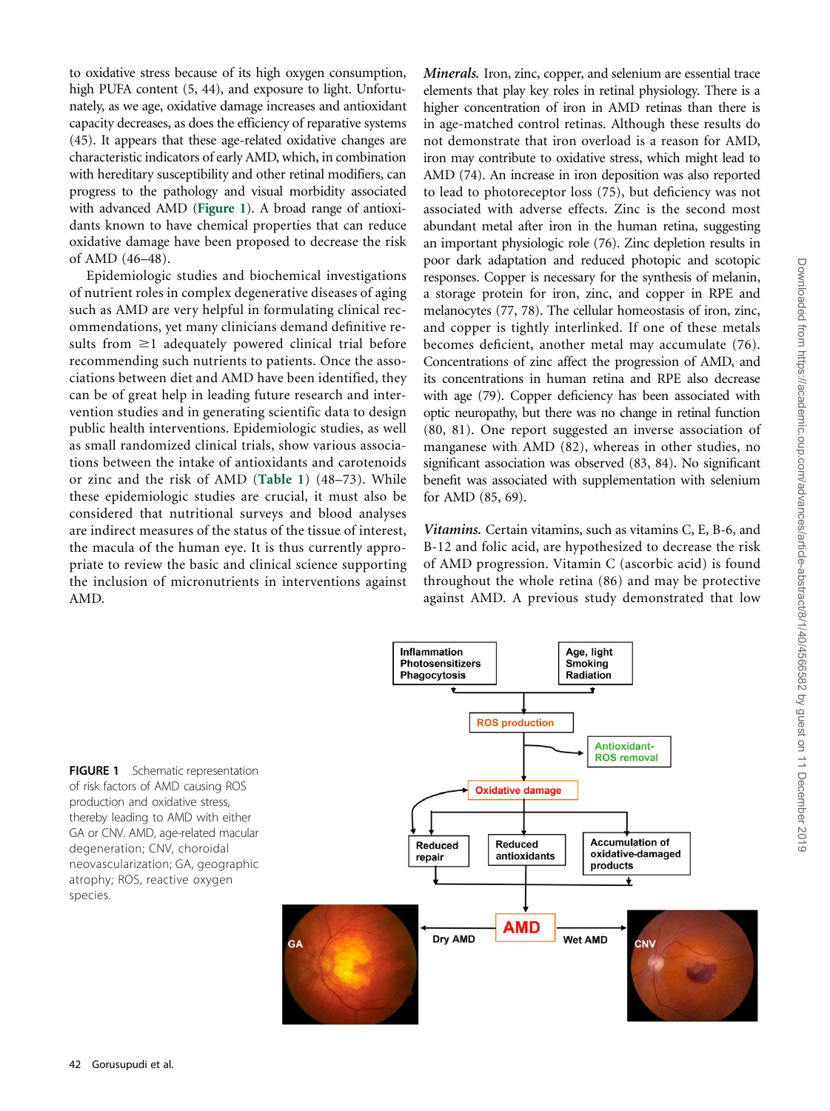to oxidative stress because of its high oxygen consumption, high PUFA content (5, 44), and exposure to light. Unfortunately, as we age, oxidative damage increases and antioxidant capacity decreases, as does the efficiency of reparative systems (45). It appears that these age-related oxidative changes are characteristic indicators of early AMD, which, in combination with hereditary susceptibility and other retinal modifiers, can progress to the pathology and visual morbidity associated with advanced AMD (Figure 1). A broad range of antioxidants known to have chemical properties that can reduce oxidative damage have been proposed to decrease the risk of AMD (46–48).

Epidemiologic studies and biochemical investigations of nutrient roles in complex degenerative diseases of aging such as AMD are very helpful in formulating clinical recommendations, yet many clinicians demand definitive results from  $\geq$ 1 adequately powered clinical trial before recommending such nutrients to patients. Once the associations between diet and AMD have been identified, they can be of great help in leading future research and intervention studies and in generating scientific data to design public health interventions. Epidemiologic studies, as well as small randomized clinical trials, show various associations between the intake of antioxidants and carotenoids or zinc and the risk of AMD (Table 1) (48–73). While these epidemiologic studies are crucial, it must also be considered that nutritional surveys and blood analyses are indirect measures of the status of the tissue of interest, the macula of the human eye. It is thus currently appropriate to review the basic and clinical science supporting the inclusion of micronutrients in interventions against AMD.

Minerals. Iron, zinc, copper, and selenium are essential trace elements that play key roles in retinal physiology. There is a higher concentration of iron in AMD retinas than there is in age-matched control retinas. Although these results do not demonstrate that iron overload is a reason for AMD, iron may contribute to oxidative stress, which might lead to AMD (74). An increase in iron deposition was also reported to lead to photoreceptor loss (75), but deficiency was not associated with adverse effects. Zinc is the second most abundant metal after iron in the human retina, suggesting an important physiologic role (76). Zinc depletion results in poor dark adaptation and reduced photopic and scotopic responses. Copper is necessary for the synthesis of melanin, a storage protein for iron, zinc, and copper in RPE and melanocytes (77, 78). The cellular homeostasis of iron, zinc, and copper is tightly interlinked. If one of these metals becomes deficient, another metal may accumulate (76). Concentrations of zinc affect the progression of AMD, and its concentrations in human retina and RPE also decrease with age (79). Copper deficiency has been associated with optic neuropathy, but there was no change in retinal function (80, 81). One report suggested an inverse association of manganese with AMD (82), whereas in other studies, no significant association was observed (83, 84). No significant benefit was associated with supplementation with selenium for AMD (85, 69).

Vitamins. Certain vitamins, such as vitamins C, E, B-6, and B-12 and folic acid, are hypothesized to decrease the risk of AMD progression. Vitamin C (ascorbic acid) is found throughout the whole retina (86) and may be protective against AMD. A previous study demonstrated that low

Age, light

FIGURE 1 Schematic representation of risk factors of AMD causing ROS production and oxidative stress, thereby leading to AMD with either GA or CNV. AMD, age-related macular degeneration; CNV, choroidal neovascularization; GA, geographic atrophy; ROS, reactive oxygen species.



**Inflammation**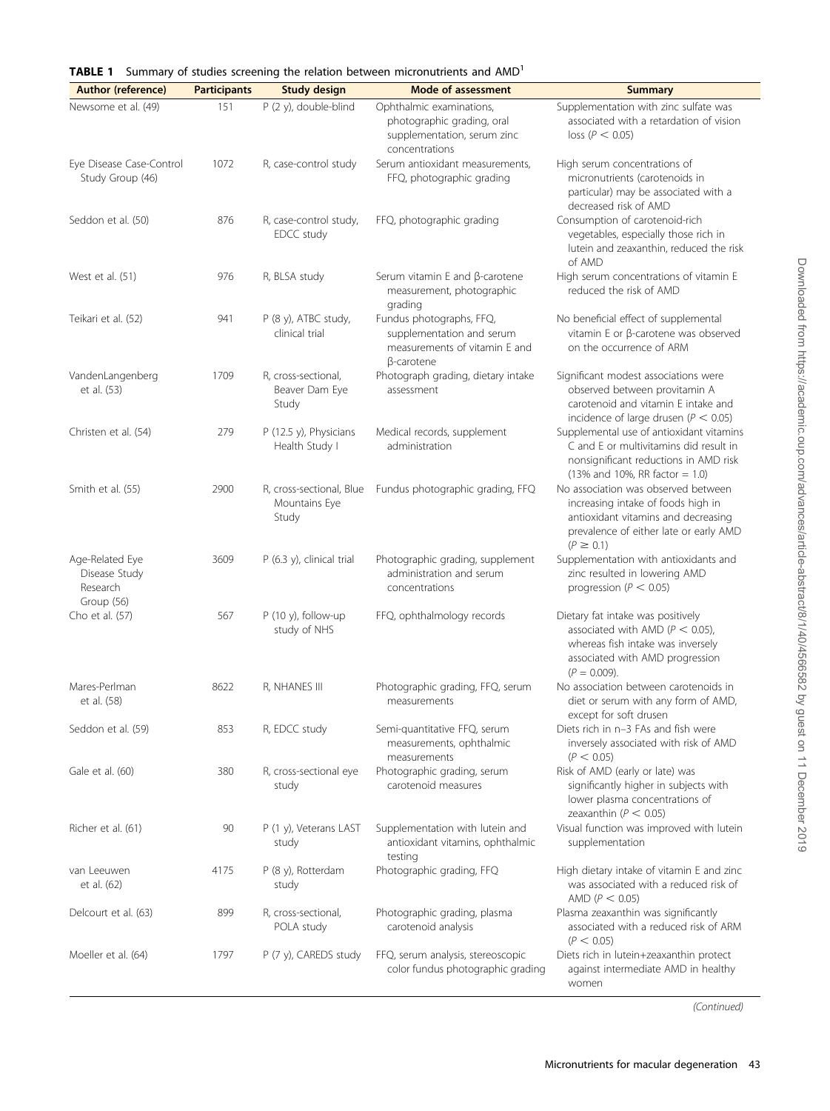|  |  |  | <b>TABLE 1</b> Summary of studies screening the relation between micronutrients and AMD <sup>1</sup> |  |
|--|--|--|------------------------------------------------------------------------------------------------------|--|
|  |  |  |                                                                                                      |  |

| <b>Author (reference)</b>                                  | <b>Participants</b> | <b>Study design</b>                                | <b>Mode of assessment</b>                                                                                   | <b>Summary</b>                                                                                                                                                              |
|------------------------------------------------------------|---------------------|----------------------------------------------------|-------------------------------------------------------------------------------------------------------------|-----------------------------------------------------------------------------------------------------------------------------------------------------------------------------|
| Newsome et al. (49)                                        | 151                 | P (2 y), double-blind                              | Ophthalmic examinations,                                                                                    | Supplementation with zinc sulfate was                                                                                                                                       |
|                                                            |                     |                                                    | photographic grading, oral<br>supplementation, serum zinc<br>concentrations                                 | associated with a retardation of vision<br>loss (P < 0.05)                                                                                                                  |
| Eye Disease Case-Control<br>Study Group (46)               | 1072                | R, case-control study                              | Serum antioxidant measurements,<br>FFQ, photographic grading                                                | High serum concentrations of<br>micronutrients (carotenoids in<br>particular) may be associated with a<br>decreased risk of AMD                                             |
| Seddon et al. (50)                                         | 876                 | R, case-control study,<br>EDCC study               | FFQ, photographic grading                                                                                   | Consumption of carotenoid-rich<br>vegetables, especially those rich in<br>lutein and zeaxanthin, reduced the risk<br>of AMD                                                 |
| West et al. (51)                                           | 976                 | R, BLSA study                                      | Serum vitamin $E$ and $\beta$ -carotene<br>measurement, photographic<br>grading                             | High serum concentrations of vitamin E<br>reduced the risk of AMD                                                                                                           |
| Teikari et al. (52)                                        | 941                 | P (8 y), ATBC study,<br>clinical trial             | Fundus photographs, FFQ,<br>supplementation and serum<br>measurements of vitamin E and<br>$\beta$ -carotene | No beneficial effect of supplemental<br>vitamin E or $\beta$ -carotene was observed<br>on the occurrence of ARM                                                             |
| VandenLangenberg<br>et al. (53)                            | 1709                | R, cross-sectional,<br>Beaver Dam Eye<br>Study     | Photograph grading, dietary intake<br>assessment                                                            | Significant modest associations were<br>observed between provitamin A<br>carotenoid and vitamin E intake and<br>incidence of large drusen ( $P < 0.05$ )                    |
| Christen et al. (54)                                       | 279                 | P (12.5 y), Physicians<br>Health Study I           | Medical records, supplement<br>administration                                                               | Supplemental use of antioxidant vitamins<br>C and E or multivitamins did result in<br>nonsignificant reductions in AMD risk<br>$(13%$ and 10%, RR factor = 1.0)             |
| Smith et al. (55)                                          | 2900                | R, cross-sectional, Blue<br>Mountains Eye<br>Study | Fundus photographic grading, FFQ                                                                            | No association was observed between<br>increasing intake of foods high in<br>antioxidant vitamins and decreasing<br>prevalence of either late or early AMD<br>$(P \ge 0.1)$ |
| Age-Related Eye<br>Disease Study<br>Research<br>Group (56) | 3609                | P (6.3 y), clinical trial                          | Photographic grading, supplement<br>administration and serum<br>concentrations                              | Supplementation with antioxidants and<br>zinc resulted in lowering AMD<br>progression ( $P < 0.05$ )                                                                        |
| Cho et al. (57)                                            | 567                 | P (10 y), follow-up<br>study of NHS                | FFQ, ophthalmology records                                                                                  | Dietary fat intake was positively<br>associated with AMD ( $P < 0.05$ ),<br>whereas fish intake was inversely<br>associated with AMD progression<br>$(P = 0.009)$ .         |
| Mares-Perlman<br>et al. (58)                               | 8622                | R, NHANES III                                      | Photographic grading, FFQ, serum<br>measurements                                                            | No association between carotenoids in<br>diet or serum with any form of AMD,<br>except for soft drusen                                                                      |
| Seddon et al. (59)                                         | 853                 | R, EDCC study                                      | Semi-quantitative FFQ, serum<br>measurements, ophthalmic<br>measurements                                    | Diets rich in n-3 FAs and fish were<br>inversely associated with risk of AMD<br>(P < 0.05)                                                                                  |
| Gale et al. (60)                                           | 380                 | R, cross-sectional eye<br>study                    | Photographic grading, serum<br>carotenoid measures                                                          | Risk of AMD (early or late) was<br>significantly higher in subjects with<br>lower plasma concentrations of<br>zeaxanthin ( $P < 0.05$ )                                     |
| Richer et al. (61)                                         | 90                  | P (1 y), Veterans LAST<br>study                    | Supplementation with lutein and<br>antioxidant vitamins, ophthalmic<br>testing                              | Visual function was improved with lutein<br>supplementation                                                                                                                 |
| van Leeuwen<br>et al. (62)                                 | 4175                | P (8 y), Rotterdam<br>study                        | Photographic grading, FFQ                                                                                   | High dietary intake of vitamin E and zinc<br>was associated with a reduced risk of<br>AMD ( $P < 0.05$ )                                                                    |
| Delcourt et al. (63)                                       | 899                 | R, cross-sectional,<br>POLA study                  | Photographic grading, plasma<br>carotenoid analysis                                                         | Plasma zeaxanthin was significantly<br>associated with a reduced risk of ARM<br>(P < 0.05)                                                                                  |
| Moeller et al. (64)                                        | 1797                | P (7 y), CAREDS study                              | FFQ, serum analysis, stereoscopic<br>color fundus photographic grading                                      | Diets rich in lutein+zeaxanthin protect<br>against intermediate AMD in healthy<br>women                                                                                     |

Downloaded from https://academic.oup.com/advances/article-abstract/8/1/40/4566582 by guest on 11 December 2019 Downloaded from https://academic.oup.com/advances/article-abstract/8/1/40/4566582 by guest on 11 December 2019

(Continued)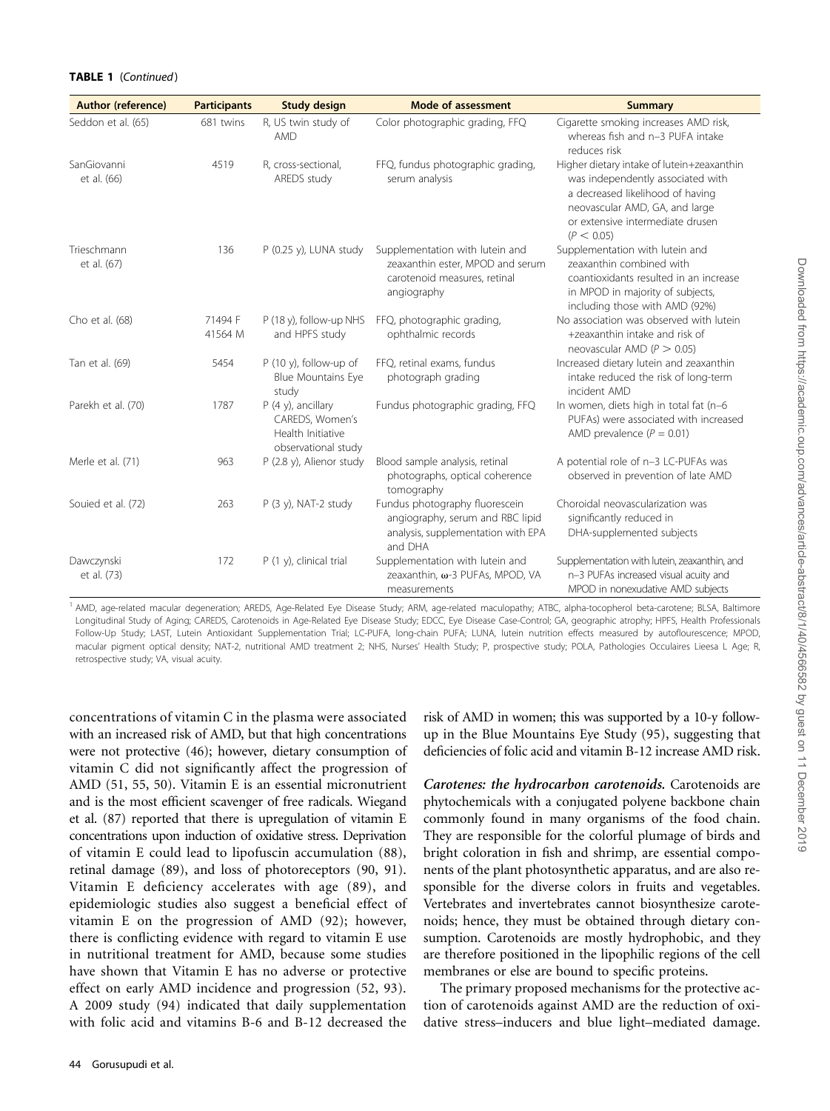#### TABLE 1 (Continued)

| <b>Author (reference)</b>  | <b>Participants</b> | <b>Study design</b>                                                                 | <b>Mode of assessment</b>                                                                                           | <b>Summary</b>                                                                                                                                                                                          |
|----------------------------|---------------------|-------------------------------------------------------------------------------------|---------------------------------------------------------------------------------------------------------------------|---------------------------------------------------------------------------------------------------------------------------------------------------------------------------------------------------------|
| Seddon et al. (65)         | 681 twins           | R, US twin study of<br><b>AMD</b>                                                   | Color photographic grading, FFQ                                                                                     | Cigarette smoking increases AMD risk,<br>whereas fish and n-3 PUFA intake<br>reduces risk                                                                                                               |
| SanGiovanni<br>et al. (66) | 4519                | R, cross-sectional,<br>AREDS study                                                  | FFQ, fundus photographic grading,<br>serum analysis                                                                 | Higher dietary intake of lutein+zeaxanthin<br>was independently associated with<br>a decreased likelihood of having<br>neovascular AMD, GA, and large<br>or extensive intermediate drusen<br>(P < 0.05) |
| Trieschmann<br>et al. (67) | 136                 | P (0.25 y), LUNA study                                                              | Supplementation with lutein and<br>zeaxanthin ester, MPOD and serum<br>carotenoid measures, retinal<br>angiography  | Supplementation with lutein and<br>zeaxanthin combined with<br>coantioxidants resulted in an increase<br>in MPOD in majority of subjects,<br>including those with AMD (92%)                             |
| Cho et al. (68)            | 71494 F<br>41564 M  | P (18 y), follow-up NHS<br>and HPFS study                                           | FFQ, photographic grading,<br>ophthalmic records                                                                    | No association was observed with lutein<br>+zeaxanthin intake and risk of<br>neovascular AMD ( $P > 0.05$ )                                                                                             |
| Tan et al. (69)            | 5454                | $P(10 y)$ , follow-up of<br><b>Blue Mountains Eye</b><br>study                      | FFQ, retinal exams, fundus<br>photograph grading                                                                    | Increased dietary lutein and zeaxanthin<br>intake reduced the risk of long-term<br>incident AMD                                                                                                         |
| Parekh et al. (70)         | 1787                | $P$ (4 y), ancillary<br>CAREDS, Women's<br>Health Initiative<br>observational study | Fundus photographic grading, FFQ                                                                                    | In women, diets high in total fat (n-6<br>PUFAs) were associated with increased<br>AMD prevalence ( $P = 0.01$ )                                                                                        |
| Merle et al. (71)          | 963                 | P (2.8 y), Alienor study                                                            | Blood sample analysis, retinal<br>photographs, optical coherence<br>tomography                                      | A potential role of n-3 LC-PUFAs was<br>observed in prevention of late AMD                                                                                                                              |
| Souied et al. (72)         | 263                 | $P$ (3 y), NAT-2 study                                                              | Fundus photography fluorescein<br>angiography, serum and RBC lipid<br>analysis, supplementation with EPA<br>and DHA | Choroidal neovascularization was<br>significantly reduced in<br>DHA-supplemented subjects                                                                                                               |
| Dawczynski<br>et al. (73)  | 172                 | $P(1 y)$ , clinical trial                                                           | Supplementation with lutein and<br>zeaxanthin, ω-3 PUFAs, MPOD, VA<br>measurements                                  | Supplementation with lutein, zeaxanthin, and<br>n-3 PUFAs increased visual acuity and<br>MPOD in nonexudative AMD subjects                                                                              |

AMD, age-related macular degeneration; AREDS, Age-Related Eye Disease Study; ARM, age-related maculopathy; ATBC, alpha-tocopherol beta-carotene; BLSA, Baltimore Longitudinal Study of Aging; CAREDS, Carotenoids in Age-Related Eye Disease Study; EDCC, Eye Disease Case-Control; GA, geographic atrophy; HPFS, Health Professionals Follow-Up Study; LAST, Lutein Antioxidant Supplementation Trial; LC-PUFA, long-chain PUFA; LUNA, lutein nutrition effects measured by autoflourescence; MPOD, macular pigment optical density; NAT-2, nutritional AMD treatment 2; NHS, Nurses' Health Study; P, prospective study; POLA, Pathologies Occulaires Lieesa L Age; R, retrospective study; VA, visual acuity.

concentrations of vitamin C in the plasma were associated with an increased risk of AMD, but that high concentrations were not protective (46); however, dietary consumption of vitamin C did not significantly affect the progression of AMD (51, 55, 50). Vitamin E is an essential micronutrient and is the most efficient scavenger of free radicals. Wiegand et al. (87) reported that there is upregulation of vitamin E concentrations upon induction of oxidative stress. Deprivation of vitamin E could lead to lipofuscin accumulation (88), retinal damage (89), and loss of photoreceptors (90, 91). Vitamin E deficiency accelerates with age (89), and epidemiologic studies also suggest a beneficial effect of vitamin E on the progression of AMD (92); however, there is conflicting evidence with regard to vitamin E use in nutritional treatment for AMD, because some studies have shown that Vitamin E has no adverse or protective effect on early AMD incidence and progression (52, 93). A 2009 study (94) indicated that daily supplementation with folic acid and vitamins B-6 and B-12 decreased the

risk of AMD in women; this was supported by a 10-y followup in the Blue Mountains Eye Study (95), suggesting that deficiencies of folic acid and vitamin B-12 increase AMD risk.

Carotenes: the hydrocarbon carotenoids. Carotenoids are phytochemicals with a conjugated polyene backbone chain commonly found in many organisms of the food chain. They are responsible for the colorful plumage of birds and bright coloration in fish and shrimp, are essential components of the plant photosynthetic apparatus, and are also responsible for the diverse colors in fruits and vegetables. Vertebrates and invertebrates cannot biosynthesize carotenoids; hence, they must be obtained through dietary consumption. Carotenoids are mostly hydrophobic, and they are therefore positioned in the lipophilic regions of the cell membranes or else are bound to specific proteins.

The primary proposed mechanisms for the protective action of carotenoids against AMD are the reduction of oxidative stress–inducers and blue light–mediated damage.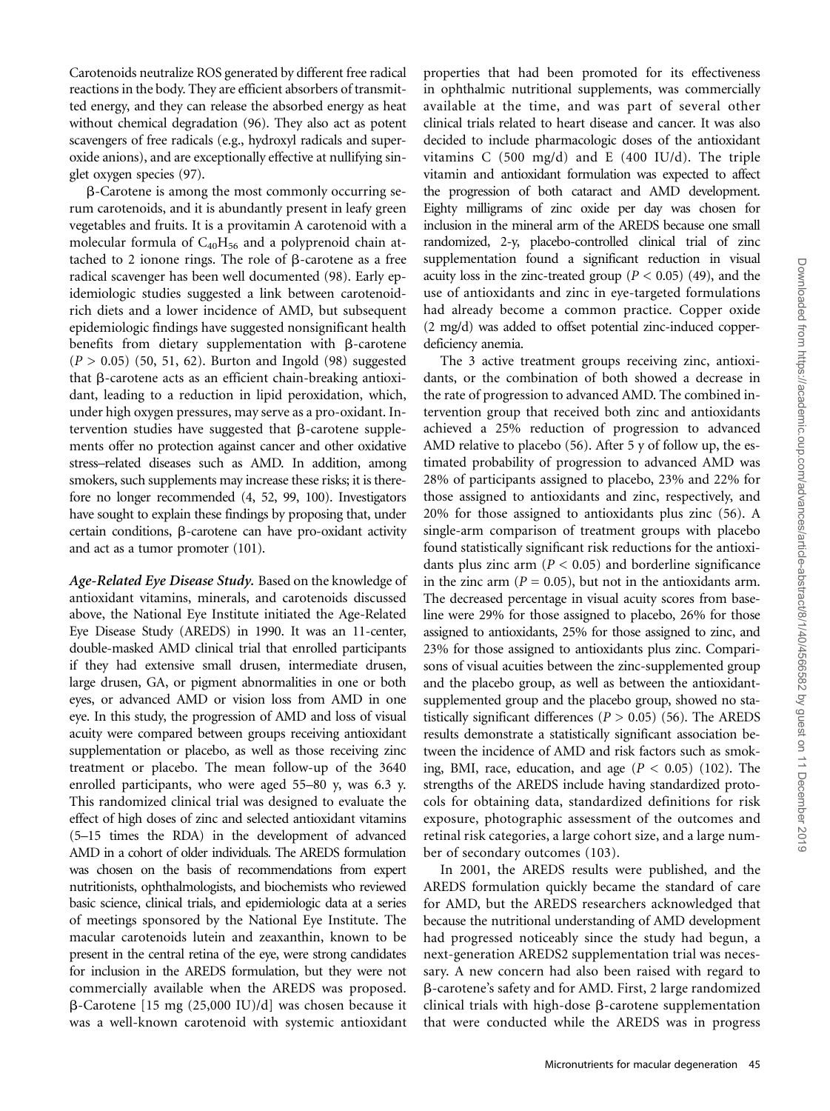Carotenoids neutralize ROS generated by different free radical reactions in the body. They are efficient absorbers of transmitted energy, and they can release the absorbed energy as heat without chemical degradation (96). They also act as potent scavengers of free radicals (e.g., hydroxyl radicals and superoxide anions), and are exceptionally effective at nullifying singlet oxygen species (97).

 $\beta$ -Carotene is among the most commonly occurring serum carotenoids, and it is abundantly present in leafy green vegetables and fruits. It is a provitamin A carotenoid with a molecular formula of  $C_{40}H_{56}$  and a polyprenoid chain attached to 2 ionone rings. The role of  $\beta$ -carotene as a free radical scavenger has been well documented (98). Early epidemiologic studies suggested a link between carotenoidrich diets and a lower incidence of AMD, but subsequent epidemiologic findings have suggested nonsignificant health benefits from dietary supplementation with  $\beta$ -carotene  $(P > 0.05)$  (50, 51, 62). Burton and Ingold (98) suggested that  $\beta$ -carotene acts as an efficient chain-breaking antioxidant, leading to a reduction in lipid peroxidation, which, under high oxygen pressures, may serve as a pro-oxidant. Intervention studies have suggested that  $\beta$ -carotene supplements offer no protection against cancer and other oxidative stress–related diseases such as AMD. In addition, among smokers, such supplements may increase these risks; it is therefore no longer recommended (4, 52, 99, 100). Investigators have sought to explain these findings by proposing that, under certain conditions,  $\beta$ -carotene can have pro-oxidant activity and act as a tumor promoter (101).

Age-Related Eye Disease Study. Based on the knowledge of antioxidant vitamins, minerals, and carotenoids discussed above, the National Eye Institute initiated the Age-Related Eye Disease Study (AREDS) in 1990. It was an 11-center, double-masked AMD clinical trial that enrolled participants if they had extensive small drusen, intermediate drusen, large drusen, GA, or pigment abnormalities in one or both eyes, or advanced AMD or vision loss from AMD in one eye. In this study, the progression of AMD and loss of visual acuity were compared between groups receiving antioxidant supplementation or placebo, as well as those receiving zinc treatment or placebo. The mean follow-up of the 3640 enrolled participants, who were aged 55–80 y, was 6.3 y. This randomized clinical trial was designed to evaluate the effect of high doses of zinc and selected antioxidant vitamins (5–15 times the RDA) in the development of advanced AMD in a cohort of older individuals. The AREDS formulation was chosen on the basis of recommendations from expert nutritionists, ophthalmologists, and biochemists who reviewed basic science, clinical trials, and epidemiologic data at a series of meetings sponsored by the National Eye Institute. The macular carotenoids lutein and zeaxanthin, known to be present in the central retina of the eye, were strong candidates for inclusion in the AREDS formulation, but they were not commercially available when the AREDS was proposed.  $\beta$ -Carotene [15 mg (25,000 IU)/d] was chosen because it was a well-known carotenoid with systemic antioxidant

properties that had been promoted for its effectiveness in ophthalmic nutritional supplements, was commercially available at the time, and was part of several other clinical trials related to heart disease and cancer. It was also decided to include pharmacologic doses of the antioxidant vitamins C (500 mg/d) and E (400 IU/d). The triple vitamin and antioxidant formulation was expected to affect the progression of both cataract and AMD development. Eighty milligrams of zinc oxide per day was chosen for inclusion in the mineral arm of the AREDS because one small randomized, 2-y, placebo-controlled clinical trial of zinc supplementation found a significant reduction in visual acuity loss in the zinc-treated group ( $P < 0.05$ ) (49), and the use of antioxidants and zinc in eye-targeted formulations had already become a common practice. Copper oxide (2 mg/d) was added to offset potential zinc-induced copperdeficiency anemia.

The 3 active treatment groups receiving zinc, antioxidants, or the combination of both showed a decrease in the rate of progression to advanced AMD. The combined intervention group that received both zinc and antioxidants achieved a 25% reduction of progression to advanced AMD relative to placebo (56). After 5 y of follow up, the estimated probability of progression to advanced AMD was 28% of participants assigned to placebo, 23% and 22% for those assigned to antioxidants and zinc, respectively, and 20% for those assigned to antioxidants plus zinc (56). A single-arm comparison of treatment groups with placebo found statistically significant risk reductions for the antioxidants plus zinc arm ( $P < 0.05$ ) and borderline significance in the zinc arm ( $P = 0.05$ ), but not in the antioxidants arm. The decreased percentage in visual acuity scores from baseline were 29% for those assigned to placebo, 26% for those assigned to antioxidants, 25% for those assigned to zinc, and 23% for those assigned to antioxidants plus zinc. Comparisons of visual acuities between the zinc-supplemented group and the placebo group, as well as between the antioxidantsupplemented group and the placebo group, showed no statistically significant differences ( $P > 0.05$ ) (56). The AREDS results demonstrate a statistically significant association between the incidence of AMD and risk factors such as smoking, BMI, race, education, and age  $(P < 0.05)$  (102). The strengths of the AREDS include having standardized protocols for obtaining data, standardized definitions for risk exposure, photographic assessment of the outcomes and retinal risk categories, a large cohort size, and a large number of secondary outcomes (103).

In 2001, the AREDS results were published, and the AREDS formulation quickly became the standard of care for AMD, but the AREDS researchers acknowledged that because the nutritional understanding of AMD development had progressed noticeably since the study had begun, a next-generation AREDS2 supplementation trial was necessary. A new concern had also been raised with regard to b-carotene's safety and for AMD. First, 2 large randomized clinical trials with high-dose  $\beta$ -carotene supplementation that were conducted while the AREDS was in progress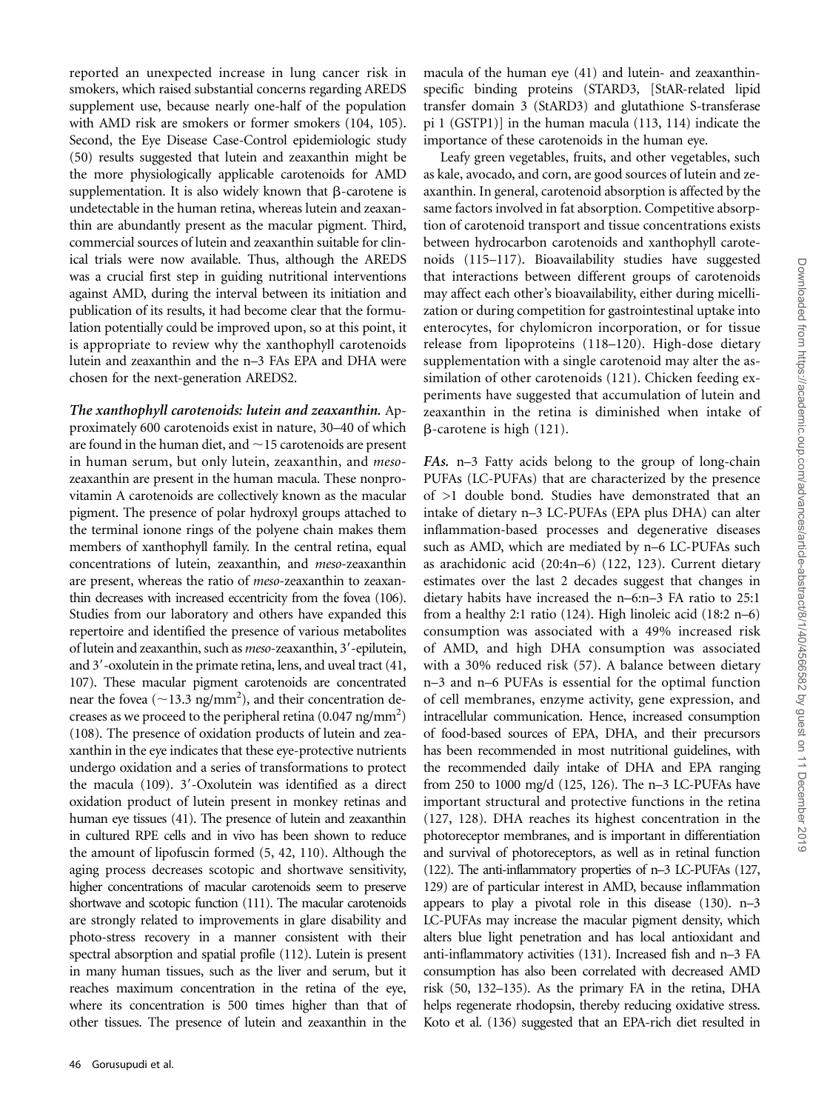reported an unexpected increase in lung cancer risk in smokers, which raised substantial concerns regarding AREDS supplement use, because nearly one-half of the population with AMD risk are smokers or former smokers (104, 105). Second, the Eye Disease Case-Control epidemiologic study (50) results suggested that lutein and zeaxanthin might be the more physiologically applicable carotenoids for AMD supplementation. It is also widely known that  $\beta$ -carotene is undetectable in the human retina, whereas lutein and zeaxanthin are abundantly present as the macular pigment. Third, commercial sources of lutein and zeaxanthin suitable for clinical trials were now available. Thus, although the AREDS was a crucial first step in guiding nutritional interventions against AMD, during the interval between its initiation and publication of its results, it had become clear that the formulation potentially could be improved upon, so at this point, it is appropriate to review why the xanthophyll carotenoids lutein and zeaxanthin and the n–3 FAs EPA and DHA were chosen for the next-generation AREDS2.

The xanthophyll carotenoids: lutein and zeaxanthin. Approximately 600 carotenoids exist in nature, 30–40 of which are found in the human diet, and  $\sim$  15 carotenoids are present in human serum, but only lutein, zeaxanthin, and *meso*zeaxanthin are present in the human macula. These nonprovitamin A carotenoids are collectively known as the macular pigment. The presence of polar hydroxyl groups attached to the terminal ionone rings of the polyene chain makes them members of xanthophyll family. In the central retina, equal concentrations of lutein, zeaxanthin, and meso-zeaxanthin are present, whereas the ratio of meso-zeaxanthin to zeaxanthin decreases with increased eccentricity from the fovea (106). Studies from our laboratory and others have expanded this repertoire and identified the presence of various metabolites of lutein and zeaxanthin, such as meso-zeaxanthin, 3'-epilutein, and  $3'$ -oxolutein in the primate retina, lens, and uveal tract  $(41, 41)$ 107). These macular pigment carotenoids are concentrated near the fovea ( $\sim$ 13.3 ng/mm<sup>2</sup>), and their concentration decreases as we proceed to the peripheral retina  $(0.047 \text{ ng/mm}^2)$ (108). The presence of oxidation products of lutein and zeaxanthin in the eye indicates that these eye-protective nutrients undergo oxidation and a series of transformations to protect the macula  $(109)$ . 3'-Oxolutein was identified as a direct oxidation product of lutein present in monkey retinas and human eye tissues (41). The presence of lutein and zeaxanthin in cultured RPE cells and in vivo has been shown to reduce the amount of lipofuscin formed (5, 42, 110). Although the aging process decreases scotopic and shortwave sensitivity, higher concentrations of macular carotenoids seem to preserve shortwave and scotopic function (111). The macular carotenoids are strongly related to improvements in glare disability and photo-stress recovery in a manner consistent with their spectral absorption and spatial profile (112). Lutein is present in many human tissues, such as the liver and serum, but it reaches maximum concentration in the retina of the eye, where its concentration is 500 times higher than that of other tissues. The presence of lutein and zeaxanthin in the

macula of the human eye (41) and lutein- and zeaxanthinspecific binding proteins (STARD3, [StAR-related lipid transfer domain 3 (StARD3) and glutathione S-transferase pi 1 (GSTP1)] in the human macula (113, 114) indicate the importance of these carotenoids in the human eye.

Leafy green vegetables, fruits, and other vegetables, such as kale, avocado, and corn, are good sources of lutein and zeaxanthin. In general, carotenoid absorption is affected by the same factors involved in fat absorption. Competitive absorption of carotenoid transport and tissue concentrations exists between hydrocarbon carotenoids and xanthophyll carotenoids (115–117). Bioavailability studies have suggested that interactions between different groups of carotenoids may affect each other's bioavailability, either during micellization or during competition for gastrointestinal uptake into enterocytes, for chylomicron incorporation, or for tissue release from lipoproteins (118–120). High-dose dietary supplementation with a single carotenoid may alter the assimilation of other carotenoids (121). Chicken feeding experiments have suggested that accumulation of lutein and zeaxanthin in the retina is diminished when intake of  $\beta$ -carotene is high (121).

FAs. n–3 Fatty acids belong to the group of long-chain PUFAs (LC-PUFAs) that are characterized by the presence of >1 double bond. Studies have demonstrated that an intake of dietary n–3 LC-PUFAs (EPA plus DHA) can alter inflammation-based processes and degenerative diseases such as AMD, which are mediated by n–6 LC-PUFAs such as arachidonic acid (20:4n–6) (122, 123). Current dietary estimates over the last 2 decades suggest that changes in dietary habits have increased the n–6:n–3 FA ratio to 25:1 from a healthy 2:1 ratio (124). High linoleic acid (18:2 n–6) consumption was associated with a 49% increased risk of AMD, and high DHA consumption was associated with a 30% reduced risk (57). A balance between dietary n–3 and n–6 PUFAs is essential for the optimal function of cell membranes, enzyme activity, gene expression, and intracellular communication. Hence, increased consumption of food-based sources of EPA, DHA, and their precursors has been recommended in most nutritional guidelines, with the recommended daily intake of DHA and EPA ranging from 250 to 1000 mg/d (125, 126). The n–3 LC-PUFAs have important structural and protective functions in the retina (127, 128). DHA reaches its highest concentration in the photoreceptor membranes, and is important in differentiation and survival of photoreceptors, as well as in retinal function (122). The anti-inflammatory properties of n–3 LC-PUFAs (127, 129) are of particular interest in AMD, because inflammation appears to play a pivotal role in this disease (130). n–3 LC-PUFAs may increase the macular pigment density, which alters blue light penetration and has local antioxidant and anti-inflammatory activities (131). Increased fish and n–3 FA consumption has also been correlated with decreased AMD risk (50, 132–135). As the primary FA in the retina, DHA helps regenerate rhodopsin, thereby reducing oxidative stress. Koto et al. (136) suggested that an EPA-rich diet resulted in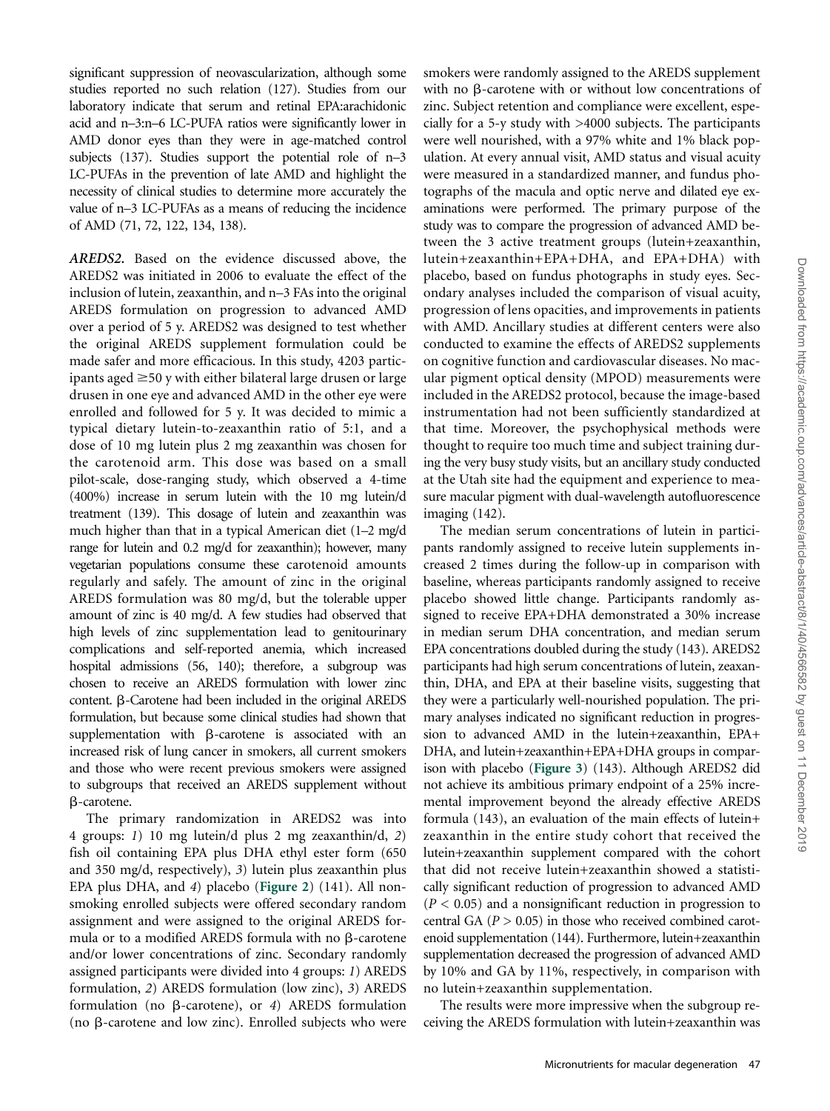significant suppression of neovascularization, although some studies reported no such relation (127). Studies from our laboratory indicate that serum and retinal EPA:arachidonic acid and n–3:n–6 LC-PUFA ratios were significantly lower in AMD donor eyes than they were in age-matched control subjects (137). Studies support the potential role of n–3 LC-PUFAs in the prevention of late AMD and highlight the necessity of clinical studies to determine more accurately the value of n–3 LC-PUFAs as a means of reducing the incidence of AMD (71, 72, 122, 134, 138).

AREDS2. Based on the evidence discussed above, the AREDS2 was initiated in 2006 to evaluate the effect of the inclusion of lutein, zeaxanthin, and n–3 FAs into the original AREDS formulation on progression to advanced AMD over a period of 5 y. AREDS2 was designed to test whether the original AREDS supplement formulation could be made safer and more efficacious. In this study, 4203 participants aged  $\geq$ 50 y with either bilateral large drusen or large drusen in one eye and advanced AMD in the other eye were enrolled and followed for 5 y. It was decided to mimic a typical dietary lutein-to-zeaxanthin ratio of 5:1, and a dose of 10 mg lutein plus 2 mg zeaxanthin was chosen for the carotenoid arm. This dose was based on a small pilot-scale, dose-ranging study, which observed a 4-time (400%) increase in serum lutein with the 10 mg lutein/d treatment (139). This dosage of lutein and zeaxanthin was much higher than that in a typical American diet (1–2 mg/d range for lutein and 0.2 mg/d for zeaxanthin); however, many vegetarian populations consume these carotenoid amounts regularly and safely. The amount of zinc in the original AREDS formulation was 80 mg/d, but the tolerable upper amount of zinc is 40 mg/d. A few studies had observed that high levels of zinc supplementation lead to genitourinary complications and self-reported anemia, which increased hospital admissions (56, 140); therefore, a subgroup was chosen to receive an AREDS formulation with lower zinc content.  $\beta$ -Carotene had been included in the original AREDS formulation, but because some clinical studies had shown that supplementation with  $\beta$ -carotene is associated with an increased risk of lung cancer in smokers, all current smokers and those who were recent previous smokers were assigned to subgroups that received an AREDS supplement without b-carotene.

The primary randomization in AREDS2 was into 4 groups: 1) 10 mg lutein/d plus 2 mg zeaxanthin/d, 2) fish oil containing EPA plus DHA ethyl ester form (650 and 350 mg/d, respectively), 3) lutein plus zeaxanthin plus EPA plus DHA, and <sup>4</sup>) placebo (Figure 2) (141). All nonsmoking enrolled subjects were offered secondary random assignment and were assigned to the original AREDS formula or to a modified AREDS formula with no  $\beta$ -carotene and/or lower concentrations of zinc. Secondary randomly assigned participants were divided into 4 groups: 1) AREDS formulation, 2) AREDS formulation (low zinc), 3) AREDS formulation (no  $\beta$ -carotene), or 4) AREDS formulation (no  $\beta$ -carotene and low zinc). Enrolled subjects who were

smokers were randomly assigned to the AREDS supplement with no  $\beta$ -carotene with or without low concentrations of zinc. Subject retention and compliance were excellent, especially for a 5-y study with >4000 subjects. The participants were well nourished, with a 97% white and 1% black population. At every annual visit, AMD status and visual acuity were measured in a standardized manner, and fundus photographs of the macula and optic nerve and dilated eye examinations were performed. The primary purpose of the study was to compare the progression of advanced AMD between the 3 active treatment groups (lutein+zeaxanthin, lutein+zeaxanthin+EPA+DHA, and EPA+DHA) with placebo, based on fundus photographs in study eyes. Secondary analyses included the comparison of visual acuity, progression of lens opacities, and improvements in patients with AMD. Ancillary studies at different centers were also conducted to examine the effects of AREDS2 supplements on cognitive function and cardiovascular diseases. No macular pigment optical density (MPOD) measurements were included in the AREDS2 protocol, because the image-based instrumentation had not been sufficiently standardized at that time. Moreover, the psychophysical methods were thought to require too much time and subject training during the very busy study visits, but an ancillary study conducted at the Utah site had the equipment and experience to measure macular pigment with dual-wavelength autofluorescence imaging (142).

The median serum concentrations of lutein in participants randomly assigned to receive lutein supplements increased 2 times during the follow-up in comparison with baseline, whereas participants randomly assigned to receive placebo showed little change. Participants randomly assigned to receive EPA+DHA demonstrated a 30% increase in median serum DHA concentration, and median serum EPA concentrations doubled during the study (143). AREDS2 participants had high serum concentrations of lutein, zeaxanthin, DHA, and EPA at their baseline visits, suggesting that they were a particularly well-nourished population. The primary analyses indicated no significant reduction in progression to advanced AMD in the lutein+zeaxanthin, EPA+ DHA, and lutein+zeaxanthin+EPA+DHA groups in comparison with placebo (Figure 3) (143). Although AREDS2 did not achieve its ambitious primary endpoint of a 25% incremental improvement beyond the already effective AREDS formula (143), an evaluation of the main effects of lutein+ zeaxanthin in the entire study cohort that received the lutein+zeaxanthin supplement compared with the cohort that did not receive lutein+zeaxanthin showed a statistically significant reduction of progression to advanced AMD  $(P < 0.05)$  and a nonsignificant reduction in progression to central GA ( $P > 0.05$ ) in those who received combined carotenoid supplementation (144). Furthermore, lutein+zeaxanthin supplementation decreased the progression of advanced AMD by 10% and GA by 11%, respectively, in comparison with no lutein+zeaxanthin supplementation.

The results were more impressive when the subgroup receiving the AREDS formulation with lutein+zeaxanthin was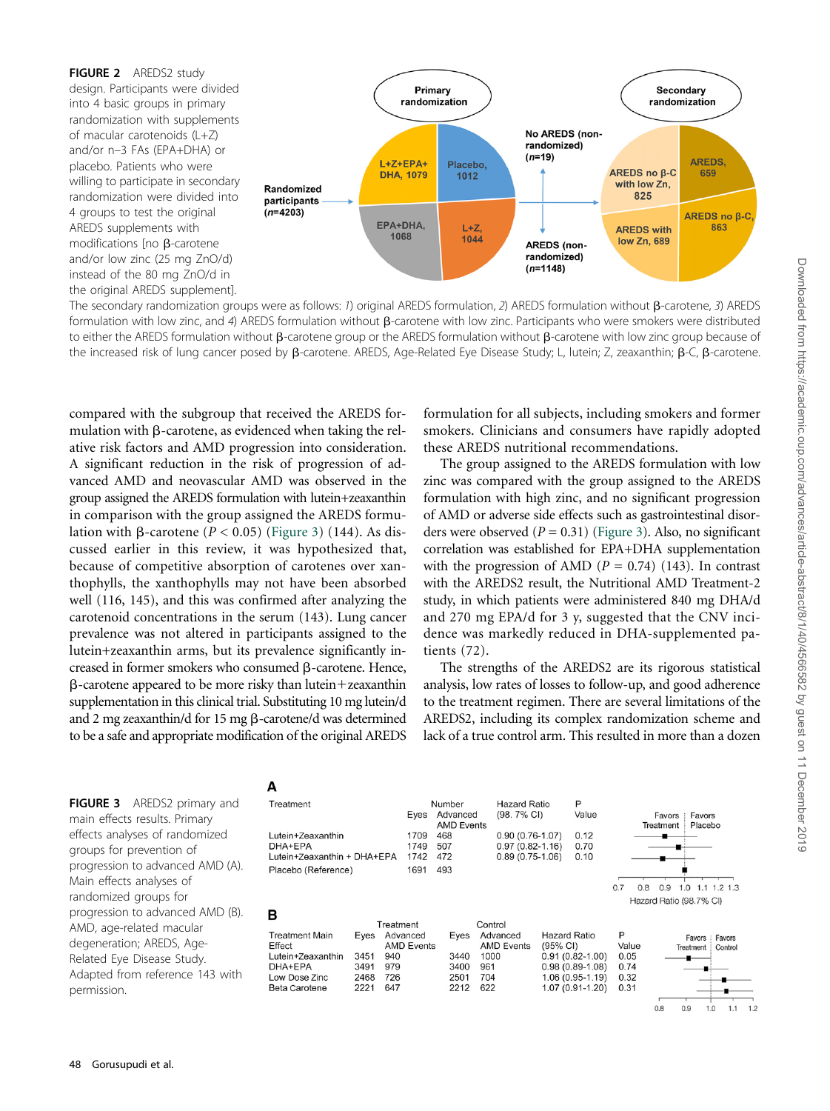

The secondary randomization groups were as follows: 1) original AREDS formulation, 2) AREDS formulation without  $\beta$ -carotene, 3) AREDS formulation with low zinc, and 4) AREDS formulation without  $\beta$ -carotene with low zinc. Participants who were smokers were distributed to either the AREDS formulation without B-carotene group or the AREDS formulation without B-carotene with low zinc group because of the increased risk of lung cancer posed by B-carotene. AREDS, Age-Related Eye Disease Study; L, lutein; Z, zeaxanthin; B-C, B-carotene.

compared with the subgroup that received the AREDS formulation with  $\beta$ -carotene, as evidenced when taking the relative risk factors and AMD progression into consideration. A significant reduction in the risk of progression of advanced AMD and neovascular AMD was observed in the group assigned the AREDS formulation with lutein+zeaxanthin in comparison with the group assigned the AREDS formulation with  $\beta$ -carotene ( $P < 0.05$ ) (Figure 3) (144). As discussed earlier in this review, it was hypothesized that, because of competitive absorption of carotenes over xanthophylls, the xanthophylls may not have been absorbed well (116, 145), and this was confirmed after analyzing the carotenoid concentrations in the serum (143). Lung cancer prevalence was not altered in participants assigned to the lutein+zeaxanthin arms, but its prevalence significantly increased in former smokers who consumed  $\beta$ -carotene. Hence,  $\beta$ -carotene appeared to be more risky than lutein+zeaxanthin supplementation in this clinical trial. Substituting 10 mg lutein/d and 2 mg zeaxanthin/d for 15 mg  $\beta$ -carotene/d was determined to be a safe and appropriate modification of the original AREDS

formulation for all subjects, including smokers and former smokers. Clinicians and consumers have rapidly adopted these AREDS nutritional recommendations.

The group assigned to the AREDS formulation with low zinc was compared with the group assigned to the AREDS formulation with high zinc, and no significant progression of AMD or adverse side effects such as gastrointestinal disorders were observed  $(P = 0.31)$  (Figure 3). Also, no significant correlation was established for EPA+DHA supplementation with the progression of AMD ( $P = 0.74$ ) (143). In contrast with the AREDS2 result, the Nutritional AMD Treatment-2 study, in which patients were administered 840 mg DHA/d and 270 mg EPA/d for 3 y, suggested that the CNV incidence was markedly reduced in DHA-supplemented patients (72).

The strengths of the AREDS2 are its rigorous statistical analysis, low rates of losses to follow-up, and good adherence to the treatment regimen. There are several limitations of the AREDS2, including its complex randomization scheme and lack of a true control arm. This resulted in more than a dozen

P

FIGURE 3 AREDS2 primary and main effects results. Primary effects analyses of randomized groups for prevention of progression to advanced AMD (A). Main effects analyses of randomized groups for progression to advanced AMD (B). AMD, age-related macular degeneration; AREDS, Age-Related Eye Disease Study. Adapted from reference 143 with permission.

#### A Treatment



Number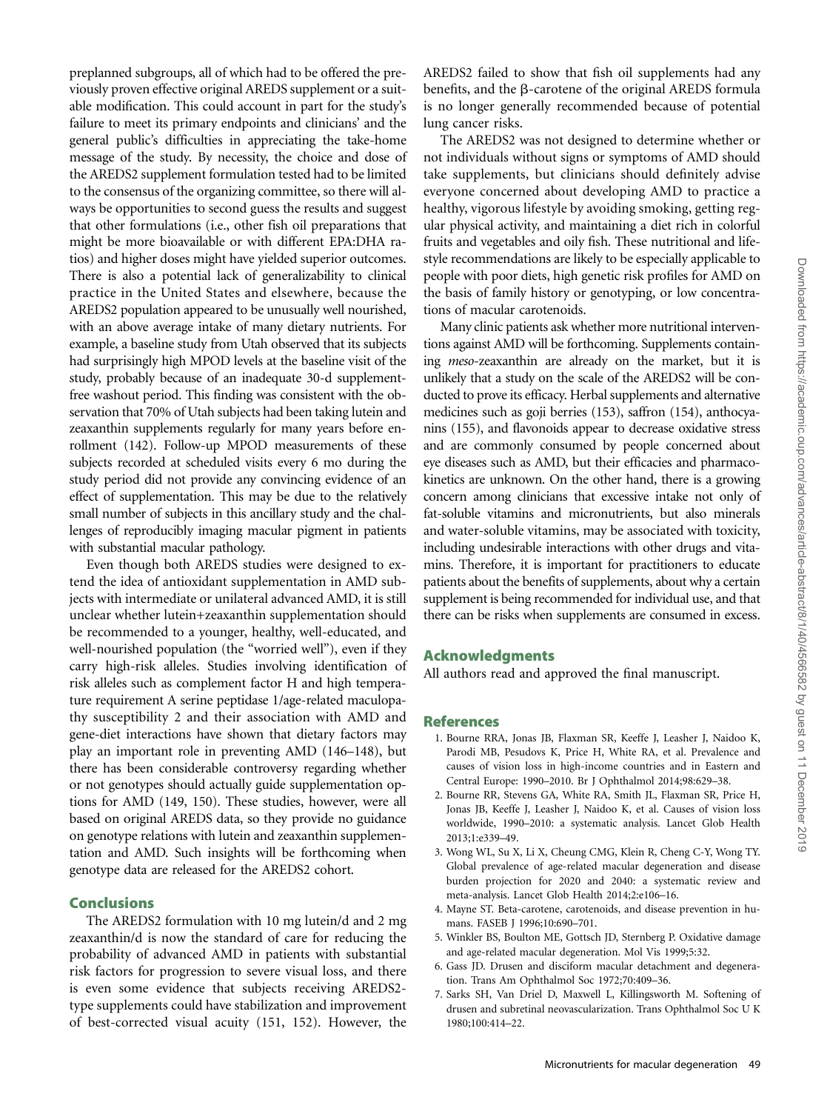preplanned subgroups, all of which had to be offered the previously proven effective original AREDS supplement or a suitable modification. This could account in part for the study's failure to meet its primary endpoints and clinicians' and the general public's difficulties in appreciating the take-home message of the study. By necessity, the choice and dose of the AREDS2 supplement formulation tested had to be limited to the consensus of the organizing committee, so there will always be opportunities to second guess the results and suggest that other formulations (i.e., other fish oil preparations that might be more bioavailable or with different EPA:DHA ratios) and higher doses might have yielded superior outcomes. There is also a potential lack of generalizability to clinical practice in the United States and elsewhere, because the AREDS2 population appeared to be unusually well nourished, with an above average intake of many dietary nutrients. For example, a baseline study from Utah observed that its subjects had surprisingly high MPOD levels at the baseline visit of the study, probably because of an inadequate 30-d supplementfree washout period. This finding was consistent with the observation that 70% of Utah subjects had been taking lutein and zeaxanthin supplements regularly for many years before enrollment (142). Follow-up MPOD measurements of these subjects recorded at scheduled visits every 6 mo during the study period did not provide any convincing evidence of an effect of supplementation. This may be due to the relatively small number of subjects in this ancillary study and the challenges of reproducibly imaging macular pigment in patients with substantial macular pathology.

Even though both AREDS studies were designed to extend the idea of antioxidant supplementation in AMD subjects with intermediate or unilateral advanced AMD, it is still unclear whether lutein+zeaxanthin supplementation should be recommended to a younger, healthy, well-educated, and well-nourished population (the "worried well"), even if they carry high-risk alleles. Studies involving identification of risk alleles such as complement factor H and high temperature requirement A serine peptidase 1/age-related maculopathy susceptibility 2 and their association with AMD and gene-diet interactions have shown that dietary factors may play an important role in preventing AMD (146–148), but there has been considerable controversy regarding whether or not genotypes should actually guide supplementation options for AMD (149, 150). These studies, however, were all based on original AREDS data, so they provide no guidance on genotype relations with lutein and zeaxanthin supplementation and AMD. Such insights will be forthcoming when genotype data are released for the AREDS2 cohort.

# Conclusions

The AREDS2 formulation with 10 mg lutein/d and 2 mg zeaxanthin/d is now the standard of care for reducing the probability of advanced AMD in patients with substantial risk factors for progression to severe visual loss, and there is even some evidence that subjects receiving AREDS2 type supplements could have stabilization and improvement of best-corrected visual acuity (151, 152). However, the AREDS2 failed to show that fish oil supplements had any benefits, and the β-carotene of the original AREDS formula is no longer generally recommended because of potential lung cancer risks.

The AREDS2 was not designed to determine whether or not individuals without signs or symptoms of AMD should take supplements, but clinicians should definitely advise everyone concerned about developing AMD to practice a healthy, vigorous lifestyle by avoiding smoking, getting regular physical activity, and maintaining a diet rich in colorful fruits and vegetables and oily fish. These nutritional and lifestyle recommendations are likely to be especially applicable to people with poor diets, high genetic risk profiles for AMD on the basis of family history or genotyping, or low concentrations of macular carotenoids.

Many clinic patients ask whether more nutritional interventions against AMD will be forthcoming. Supplements containing meso-zeaxanthin are already on the market, but it is unlikely that a study on the scale of the AREDS2 will be conducted to prove its efficacy. Herbal supplements and alternative medicines such as goji berries (153), saffron (154), anthocyanins (155), and flavonoids appear to decrease oxidative stress and are commonly consumed by people concerned about eye diseases such as AMD, but their efficacies and pharmacokinetics are unknown. On the other hand, there is a growing concern among clinicians that excessive intake not only of fat-soluble vitamins and micronutrients, but also minerals and water-soluble vitamins, may be associated with toxicity, including undesirable interactions with other drugs and vitamins. Therefore, it is important for practitioners to educate patients about the benefits of supplements, about why a certain supplement is being recommended for individual use, and that there can be risks when supplements are consumed in excess.

## Acknowledgments

All authors read and approved the final manuscript.

#### References

- 1. Bourne RRA, Jonas JB, Flaxman SR, Keeffe J, Leasher J, Naidoo K, Parodi MB, Pesudovs K, Price H, White RA, et al. Prevalence and causes of vision loss in high-income countries and in Eastern and Central Europe: 1990–2010. Br J Ophthalmol 2014;98:629–38.
- 2. Bourne RR, Stevens GA, White RA, Smith JL, Flaxman SR, Price H, Jonas JB, Keeffe J, Leasher J, Naidoo K, et al. Causes of vision loss worldwide, 1990–2010: a systematic analysis. Lancet Glob Health 2013;1:e339–49.
- 3. Wong WL, Su X, Li X, Cheung CMG, Klein R, Cheng C-Y, Wong TY. Global prevalence of age-related macular degeneration and disease burden projection for 2020 and 2040: a systematic review and meta-analysis. Lancet Glob Health 2014;2:e106–16.
- 4. Mayne ST. Beta-carotene, carotenoids, and disease prevention in humans. FASEB J 1996;10:690–701.
- 5. Winkler BS, Boulton ME, Gottsch JD, Sternberg P. Oxidative damage and age-related macular degeneration. Mol Vis 1999;5:32.
- 6. Gass JD. Drusen and disciform macular detachment and degeneration. Trans Am Ophthalmol Soc 1972;70:409–36.
- 7. Sarks SH, Van Driel D, Maxwell L, Killingsworth M. Softening of drusen and subretinal neovascularization. Trans Ophthalmol Soc U K 1980;100:414–22.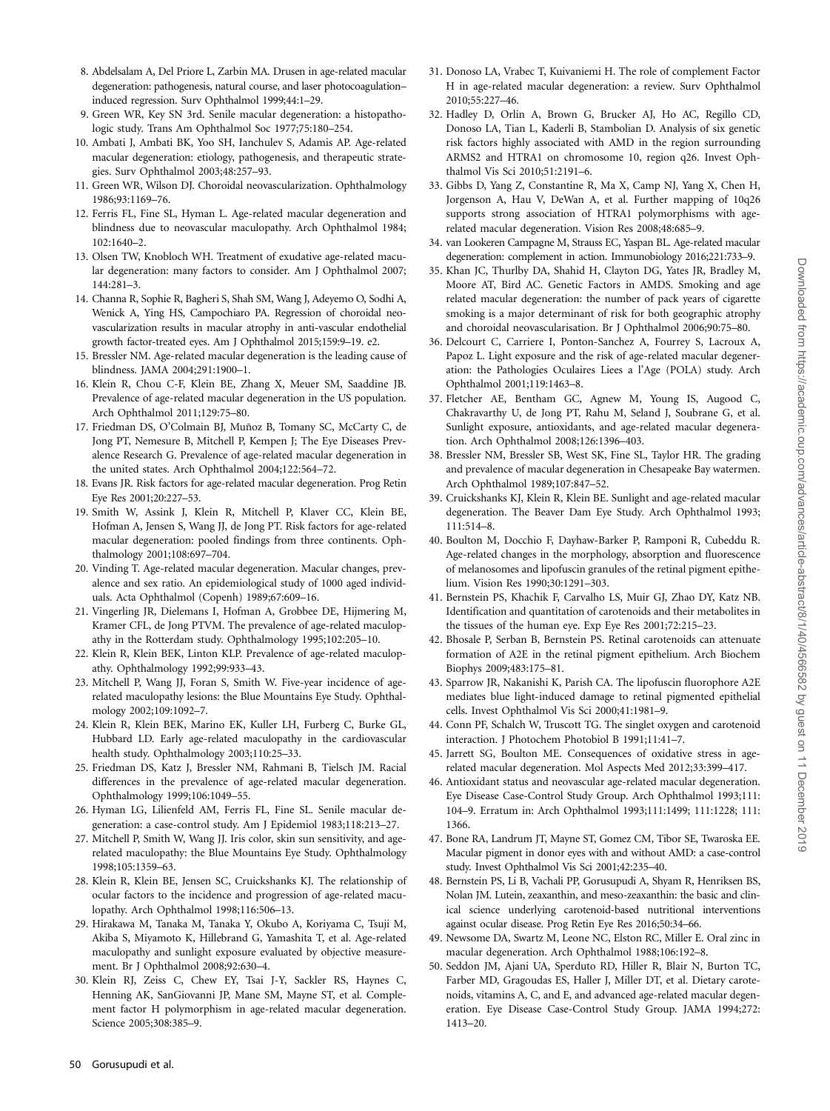- 8. Abdelsalam A, Del Priore L, Zarbin MA. Drusen in age-related macular degeneration: pathogenesis, natural course, and laser photocoagulation– induced regression. Surv Ophthalmol 1999;44:1–29.
- 9. Green WR, Key SN 3rd. Senile macular degeneration: a histopathologic study. Trans Am Ophthalmol Soc 1977;75:180–254.
- 10. Ambati J, Ambati BK, Yoo SH, Ianchulev S, Adamis AP. Age-related macular degeneration: etiology, pathogenesis, and therapeutic strategies. Surv Ophthalmol 2003;48:257–93.
- 11. Green WR, Wilson DJ. Choroidal neovascularization. Ophthalmology 1986;93:1169–76.
- 12. Ferris FL, Fine SL, Hyman L. Age-related macular degeneration and blindness due to neovascular maculopathy. Arch Ophthalmol 1984; 102:1640–2.
- 13. Olsen TW, Knobloch WH. Treatment of exudative age-related macular degeneration: many factors to consider. Am J Ophthalmol 2007; 144:281–3.
- 14. Channa R, Sophie R, Bagheri S, Shah SM, Wang J, Adeyemo O, Sodhi A, Wenick A, Ying HS, Campochiaro PA. Regression of choroidal neovascularization results in macular atrophy in anti-vascular endothelial growth factor-treated eyes. Am J Ophthalmol 2015;159:9–19. e2.
- 15. Bressler NM. Age-related macular degeneration is the leading cause of blindness. JAMA 2004;291:1900–1.
- 16. Klein R, Chou C-F, Klein BE, Zhang X, Meuer SM, Saaddine JB. Prevalence of age-related macular degeneration in the US population. Arch Ophthalmol 2011;129:75–80.
- 17. Friedman DS, O'Colmain BJ, Muñoz B, Tomany SC, McCarty C, de Jong PT, Nemesure B, Mitchell P, Kempen J; The Eye Diseases Prevalence Research G. Prevalence of age-related macular degeneration in the united states. Arch Ophthalmol 2004;122:564–72.
- 18. Evans JR. Risk factors for age-related macular degeneration. Prog Retin Eye Res 2001;20:227–53.
- 19. Smith W, Assink J, Klein R, Mitchell P, Klaver CC, Klein BE, Hofman A, Jensen S, Wang JJ, de Jong PT. Risk factors for age-related macular degeneration: pooled findings from three continents. Ophthalmology 2001;108:697–704.
- 20. Vinding T. Age-related macular degeneration. Macular changes, prevalence and sex ratio. An epidemiological study of 1000 aged individuals. Acta Ophthalmol (Copenh) 1989;67:609–16.
- 21. Vingerling JR, Dielemans I, Hofman A, Grobbee DE, Hijmering M, Kramer CFL, de Jong PTVM. The prevalence of age-related maculopathy in the Rotterdam study. Ophthalmology 1995;102:205–10.
- 22. Klein R, Klein BEK, Linton KLP. Prevalence of age-related maculopathy. Ophthalmology 1992;99:933–43.
- 23. Mitchell P, Wang JJ, Foran S, Smith W. Five-year incidence of agerelated maculopathy lesions: the Blue Mountains Eye Study. Ophthalmology 2002;109:1092–7.
- 24. Klein R, Klein BEK, Marino EK, Kuller LH, Furberg C, Burke GL, Hubbard LD. Early age-related maculopathy in the cardiovascular health study. Ophthalmology 2003;110:25–33.
- 25. Friedman DS, Katz J, Bressler NM, Rahmani B, Tielsch JM. Racial differences in the prevalence of age-related macular degeneration. Ophthalmology 1999;106:1049–55.
- 26. Hyman LG, Lilienfeld AM, Ferris FL, Fine SL. Senile macular degeneration: a case-control study. Am J Epidemiol 1983;118:213–27.
- 27. Mitchell P, Smith W, Wang JJ. Iris color, skin sun sensitivity, and agerelated maculopathy: the Blue Mountains Eye Study. Ophthalmology 1998;105:1359–63.
- 28. Klein R, Klein BE, Jensen SC, Cruickshanks KJ. The relationship of ocular factors to the incidence and progression of age-related maculopathy. Arch Ophthalmol 1998;116:506–13.
- 29. Hirakawa M, Tanaka M, Tanaka Y, Okubo A, Koriyama C, Tsuji M, Akiba S, Miyamoto K, Hillebrand G, Yamashita T, et al. Age-related maculopathy and sunlight exposure evaluated by objective measurement. Br J Ophthalmol 2008;92:630–4.
- 30. Klein RJ, Zeiss C, Chew EY, Tsai J-Y, Sackler RS, Haynes C, Henning AK, SanGiovanni JP, Mane SM, Mayne ST, et al. Complement factor H polymorphism in age-related macular degeneration. Science 2005;308:385–9.
- 31. Donoso LA, Vrabec T, Kuivaniemi H. The role of complement Factor H in age-related macular degeneration: a review. Surv Ophthalmol 2010;55:227–46.
- 32. Hadley D, Orlin A, Brown G, Brucker AJ, Ho AC, Regillo CD, Donoso LA, Tian L, Kaderli B, Stambolian D. Analysis of six genetic risk factors highly associated with AMD in the region surrounding ARMS2 and HTRA1 on chromosome 10, region q26. Invest Ophthalmol Vis Sci 2010;51:2191–6.
- 33. Gibbs D, Yang Z, Constantine R, Ma X, Camp NJ, Yang X, Chen H, Jorgenson A, Hau V, DeWan A, et al. Further mapping of 10q26 supports strong association of HTRA1 polymorphisms with agerelated macular degeneration. Vision Res 2008;48:685–9.
- 34. van Lookeren Campagne M, Strauss EC, Yaspan BL. Age-related macular degeneration: complement in action. Immunobiology 2016;221:733–9.
- 35. Khan JC, Thurlby DA, Shahid H, Clayton DG, Yates JR, Bradley M, Moore AT, Bird AC. Genetic Factors in AMDS. Smoking and age related macular degeneration: the number of pack years of cigarette smoking is a major determinant of risk for both geographic atrophy and choroidal neovascularisation. Br J Ophthalmol 2006;90:75–80.
- 36. Delcourt C, Carriere I, Ponton-Sanchez A, Fourrey S, Lacroux A, Papoz L. Light exposure and the risk of age-related macular degeneration: the Pathologies Oculaires Liees a l'Age (POLA) study. Arch Ophthalmol 2001;119:1463–8.
- 37. Fletcher AE, Bentham GC, Agnew M, Young IS, Augood C, Chakravarthy U, de Jong PT, Rahu M, Seland J, Soubrane G, et al. Sunlight exposure, antioxidants, and age-related macular degeneration. Arch Ophthalmol 2008;126:1396–403.
- 38. Bressler NM, Bressler SB, West SK, Fine SL, Taylor HR. The grading and prevalence of macular degeneration in Chesapeake Bay watermen. Arch Ophthalmol 1989;107:847–52.
- 39. Cruickshanks KJ, Klein R, Klein BE. Sunlight and age-related macular degeneration. The Beaver Dam Eye Study. Arch Ophthalmol 1993; 111:514–8.
- 40. Boulton M, Docchio F, Dayhaw-Barker P, Ramponi R, Cubeddu R. Age-related changes in the morphology, absorption and fluorescence of melanosomes and lipofuscin granules of the retinal pigment epithelium. Vision Res 1990;30:1291–303.
- 41. Bernstein PS, Khachik F, Carvalho LS, Muir GJ, Zhao DY, Katz NB. Identification and quantitation of carotenoids and their metabolites in the tissues of the human eye. Exp Eye Res 2001;72:215–23.
- 42. Bhosale P, Serban B, Bernstein PS. Retinal carotenoids can attenuate formation of A2E in the retinal pigment epithelium. Arch Biochem Biophys 2009;483:175–81.
- 43. Sparrow JR, Nakanishi K, Parish CA. The lipofuscin fluorophore A2E mediates blue light-induced damage to retinal pigmented epithelial cells. Invest Ophthalmol Vis Sci 2000;41:1981–9.
- 44. Conn PF, Schalch W, Truscott TG. The singlet oxygen and carotenoid interaction. J Photochem Photobiol B 1991;11:41–7.
- 45. Jarrett SG, Boulton ME. Consequences of oxidative stress in agerelated macular degeneration. Mol Aspects Med 2012;33:399–417.
- 46. Antioxidant status and neovascular age-related macular degeneration. Eye Disease Case-Control Study Group. Arch Ophthalmol 1993;111: 104–9. Erratum in: Arch Ophthalmol 1993;111:1499; 111:1228; 111: 1366.
- 47. Bone RA, Landrum JT, Mayne ST, Gomez CM, Tibor SE, Twaroska EE. Macular pigment in donor eyes with and without AMD: a case-control study. Invest Ophthalmol Vis Sci 2001;42:235–40.
- 48. Bernstein PS, Li B, Vachali PP, Gorusupudi A, Shyam R, Henriksen BS, Nolan JM. Lutein, zeaxanthin, and meso-zeaxanthin: the basic and clinical science underlying carotenoid-based nutritional interventions against ocular disease. Prog Retin Eye Res 2016;50:34–66.
- 49. Newsome DA, Swartz M, Leone NC, Elston RC, Miller E. Oral zinc in macular degeneration. Arch Ophthalmol 1988;106:192–8.
- 50. Seddon JM, Ajani UA, Sperduto RD, Hiller R, Blair N, Burton TC, Farber MD, Gragoudas ES, Haller J, Miller DT, et al. Dietary carotenoids, vitamins A, C, and E, and advanced age-related macular degeneration. Eye Disease Case-Control Study Group. JAMA 1994;272: 1413–20.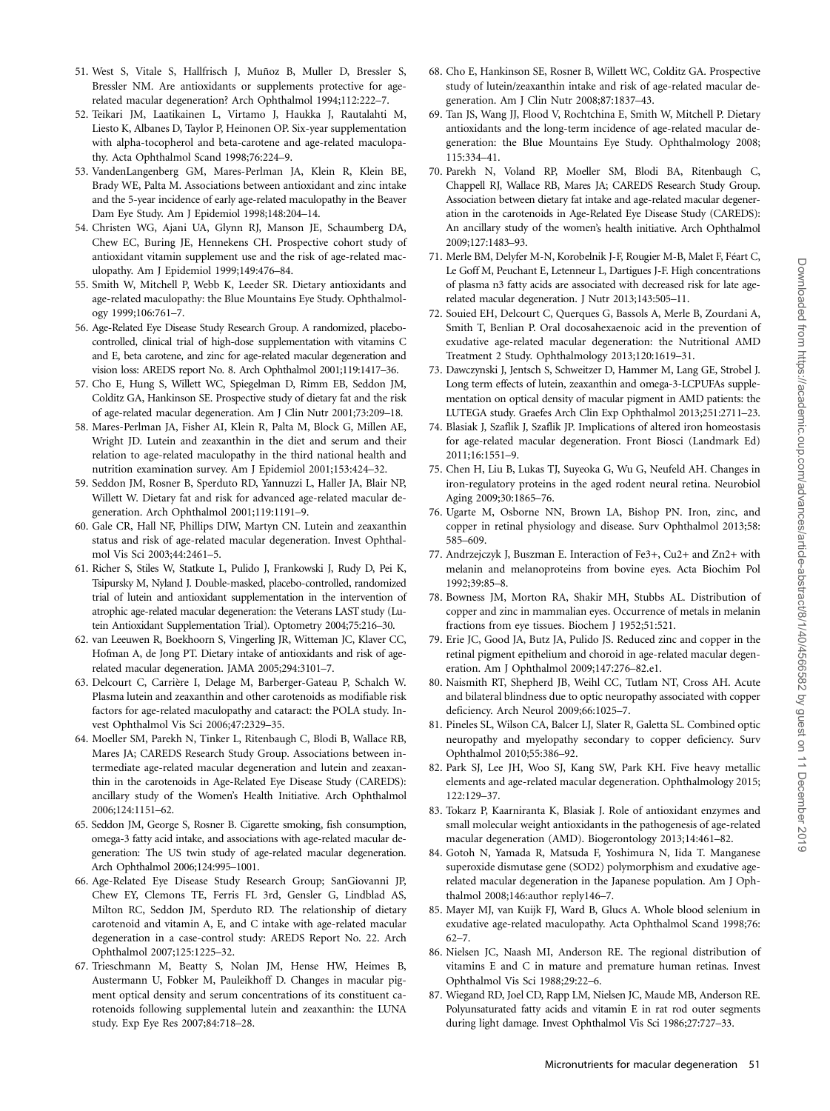- 51. West S, Vitale S, Hallfrisch J, Muñoz B, Muller D, Bressler S, Bressler NM. Are antioxidants or supplements protective for agerelated macular degeneration? Arch Ophthalmol 1994;112:222–7.
- 52. Teikari JM, Laatikainen L, Virtamo J, Haukka J, Rautalahti M, Liesto K, Albanes D, Taylor P, Heinonen OP. Six-year supplementation with alpha-tocopherol and beta-carotene and age-related maculopathy. Acta Ophthalmol Scand 1998;76:224–9.
- 53. VandenLangenberg GM, Mares-Perlman JA, Klein R, Klein BE, Brady WE, Palta M. Associations between antioxidant and zinc intake and the 5-year incidence of early age-related maculopathy in the Beaver Dam Eye Study. Am J Epidemiol 1998;148:204–14.
- 54. Christen WG, Ajani UA, Glynn RJ, Manson JE, Schaumberg DA, Chew EC, Buring JE, Hennekens CH. Prospective cohort study of antioxidant vitamin supplement use and the risk of age-related maculopathy. Am J Epidemiol 1999;149:476–84.
- 55. Smith W, Mitchell P, Webb K, Leeder SR. Dietary antioxidants and age-related maculopathy: the Blue Mountains Eye Study. Ophthalmology 1999;106:761–7.
- 56. Age-Related Eye Disease Study Research Group. A randomized, placebocontrolled, clinical trial of high-dose supplementation with vitamins C and E, beta carotene, and zinc for age-related macular degeneration and vision loss: AREDS report No. 8. Arch Ophthalmol 2001;119:1417–36.
- 57. Cho E, Hung S, Willett WC, Spiegelman D, Rimm EB, Seddon JM, Colditz GA, Hankinson SE. Prospective study of dietary fat and the risk of age-related macular degeneration. Am J Clin Nutr 2001;73:209–18.
- 58. Mares-Perlman JA, Fisher AI, Klein R, Palta M, Block G, Millen AE, Wright JD. Lutein and zeaxanthin in the diet and serum and their relation to age-related maculopathy in the third national health and nutrition examination survey. Am J Epidemiol 2001;153:424–32.
- 59. Seddon JM, Rosner B, Sperduto RD, Yannuzzi L, Haller JA, Blair NP, Willett W. Dietary fat and risk for advanced age-related macular degeneration. Arch Ophthalmol 2001;119:1191–9.
- 60. Gale CR, Hall NF, Phillips DIW, Martyn CN. Lutein and zeaxanthin status and risk of age-related macular degeneration. Invest Ophthalmol Vis Sci 2003;44:2461–5.
- 61. Richer S, Stiles W, Statkute L, Pulido J, Frankowski J, Rudy D, Pei K, Tsipursky M, Nyland J. Double-masked, placebo-controlled, randomized trial of lutein and antioxidant supplementation in the intervention of atrophic age-related macular degeneration: the Veterans LAST study (Lutein Antioxidant Supplementation Trial). Optometry 2004;75:216–30.
- 62. van Leeuwen R, Boekhoorn S, Vingerling JR, Witteman JC, Klaver CC, Hofman A, de Jong PT. Dietary intake of antioxidants and risk of agerelated macular degeneration. JAMA 2005;294:3101–7.
- 63. Delcourt C, Carrière I, Delage M, Barberger-Gateau P, Schalch W. Plasma lutein and zeaxanthin and other carotenoids as modifiable risk factors for age-related maculopathy and cataract: the POLA study. Invest Ophthalmol Vis Sci 2006;47:2329–35.
- 64. Moeller SM, Parekh N, Tinker L, Ritenbaugh C, Blodi B, Wallace RB, Mares JA; CAREDS Research Study Group. Associations between intermediate age-related macular degeneration and lutein and zeaxanthin in the carotenoids in Age-Related Eye Disease Study (CAREDS): ancillary study of the Women's Health Initiative. Arch Ophthalmol 2006;124:1151–62.
- 65. Seddon JM, George S, Rosner B. Cigarette smoking, fish consumption, omega-3 fatty acid intake, and associations with age-related macular degeneration: The US twin study of age-related macular degeneration. Arch Ophthalmol 2006;124:995–1001.
- 66. Age-Related Eye Disease Study Research Group; SanGiovanni JP, Chew EY, Clemons TE, Ferris FL 3rd, Gensler G, Lindblad AS, Milton RC, Seddon JM, Sperduto RD. The relationship of dietary carotenoid and vitamin A, E, and C intake with age-related macular degeneration in a case-control study: AREDS Report No. 22. Arch Ophthalmol 2007;125:1225–32.
- 67. Trieschmann M, Beatty S, Nolan JM, Hense HW, Heimes B, Austermann U, Fobker M, Pauleikhoff D. Changes in macular pigment optical density and serum concentrations of its constituent carotenoids following supplemental lutein and zeaxanthin: the LUNA study. Exp Eye Res 2007;84:718–28.
- 68. Cho E, Hankinson SE, Rosner B, Willett WC, Colditz GA. Prospective study of lutein/zeaxanthin intake and risk of age-related macular degeneration. Am J Clin Nutr 2008;87:1837–43.
- 69. Tan JS, Wang JJ, Flood V, Rochtchina E, Smith W, Mitchell P. Dietary antioxidants and the long-term incidence of age-related macular degeneration: the Blue Mountains Eye Study. Ophthalmology 2008; 115:334–41.
- 70. Parekh N, Voland RP, Moeller SM, Blodi BA, Ritenbaugh C, Chappell RJ, Wallace RB, Mares JA; CAREDS Research Study Group. Association between dietary fat intake and age-related macular degeneration in the carotenoids in Age-Related Eye Disease Study (CAREDS): An ancillary study of the women's health initiative. Arch Ophthalmol 2009;127:1483–93.
- 71. Merle BM, Delyfer M-N, Korobelnik J-F, Rougier M-B, Malet F, Féart C, Le Goff M, Peuchant E, Letenneur L, Dartigues J-F. High concentrations of plasma n3 fatty acids are associated with decreased risk for late agerelated macular degeneration. J Nutr 2013;143:505–11.
- 72. Souied EH, Delcourt C, Querques G, Bassols A, Merle B, Zourdani A, Smith T, Benlian P. Oral docosahexaenoic acid in the prevention of exudative age-related macular degeneration: the Nutritional AMD Treatment 2 Study. Ophthalmology 2013;120:1619–31.
- 73. Dawczynski J, Jentsch S, Schweitzer D, Hammer M, Lang GE, Strobel J. Long term effects of lutein, zeaxanthin and omega-3-LCPUFAs supplementation on optical density of macular pigment in AMD patients: the LUTEGA study. Graefes Arch Clin Exp Ophthalmol 2013;251:2711–23.
- 74. Blasiak J, Szaflik J, Szaflik JP. Implications of altered iron homeostasis for age-related macular degeneration. Front Biosci (Landmark Ed) 2011;16:1551–9.
- 75. Chen H, Liu B, Lukas TJ, Suyeoka G, Wu G, Neufeld AH. Changes in iron-regulatory proteins in the aged rodent neural retina. Neurobiol Aging 2009;30:1865–76.
- 76. Ugarte M, Osborne NN, Brown LA, Bishop PN. Iron, zinc, and copper in retinal physiology and disease. Surv Ophthalmol 2013;58: 585–609.
- 77. Andrzejczyk J, Buszman E. Interaction of Fe3+, Cu2+ and Zn2+ with melanin and melanoproteins from bovine eyes. Acta Biochim Pol 1992;39:85–8.
- 78. Bowness JM, Morton RA, Shakir MH, Stubbs AL. Distribution of copper and zinc in mammalian eyes. Occurrence of metals in melanin fractions from eye tissues. Biochem J 1952;51:521.
- 79. Erie JC, Good JA, Butz JA, Pulido JS. Reduced zinc and copper in the retinal pigment epithelium and choroid in age-related macular degeneration. Am J Ophthalmol 2009;147:276–82.e1.
- 80. Naismith RT, Shepherd JB, Weihl CC, Tutlam NT, Cross AH. Acute and bilateral blindness due to optic neuropathy associated with copper deficiency. Arch Neurol 2009;66:1025–7.
- 81. Pineles SL, Wilson CA, Balcer LJ, Slater R, Galetta SL. Combined optic neuropathy and myelopathy secondary to copper deficiency. Surv Ophthalmol 2010;55:386–92.
- 82. Park SJ, Lee JH, Woo SJ, Kang SW, Park KH. Five heavy metallic elements and age-related macular degeneration. Ophthalmology 2015; 122:129–37.
- 83. Tokarz P, Kaarniranta K, Blasiak J. Role of antioxidant enzymes and small molecular weight antioxidants in the pathogenesis of age-related macular degeneration (AMD). Biogerontology 2013;14:461–82.
- 84. Gotoh N, Yamada R, Matsuda F, Yoshimura N, Iida T. Manganese superoxide dismutase gene (SOD2) polymorphism and exudative agerelated macular degeneration in the Japanese population. Am J Ophthalmol 2008;146:author reply146–7.
- 85. Mayer MJ, van Kuijk FJ, Ward B, Glucs A. Whole blood selenium in exudative age-related maculopathy. Acta Ophthalmol Scand 1998;76: 62–7.
- 86. Nielsen JC, Naash MI, Anderson RE. The regional distribution of vitamins E and C in mature and premature human retinas. Invest Ophthalmol Vis Sci 1988;29:22–6.
- 87. Wiegand RD, Joel CD, Rapp LM, Nielsen JC, Maude MB, Anderson RE. Polyunsaturated fatty acids and vitamin E in rat rod outer segments during light damage. Invest Ophthalmol Vis Sci 1986;27:727–33.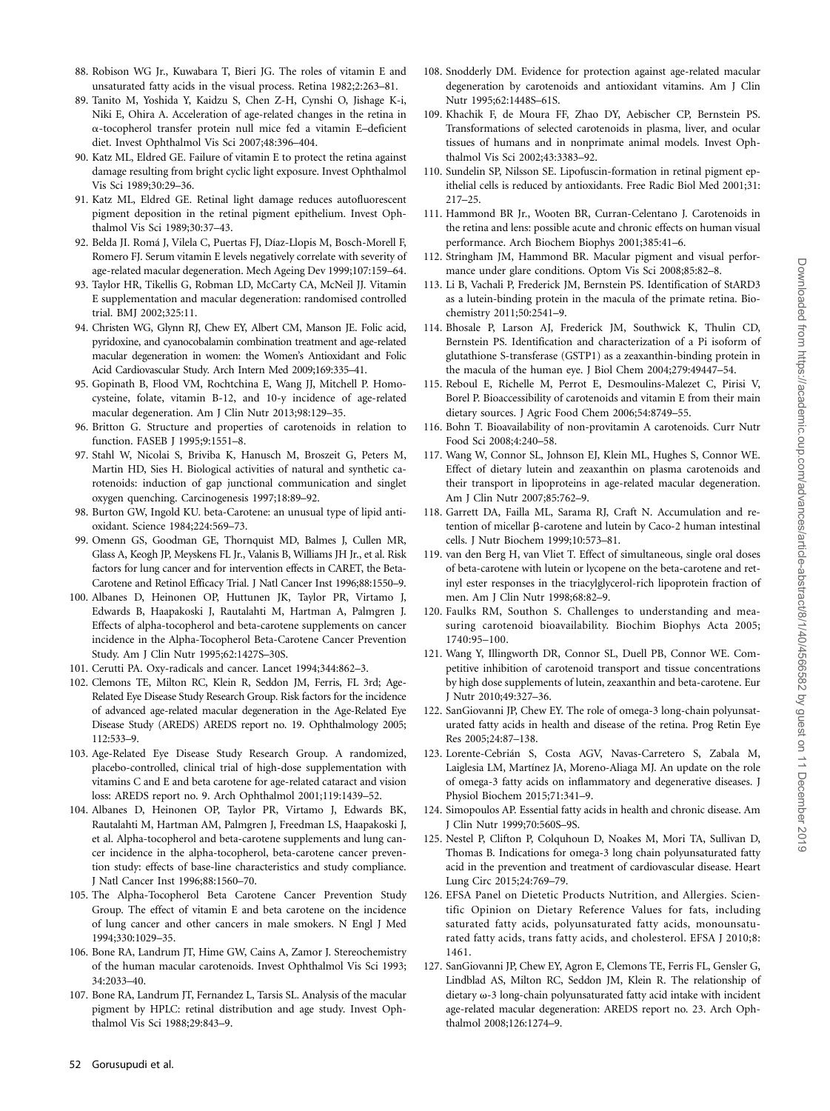- 88. Robison WG Jr., Kuwabara T, Bieri JG. The roles of vitamin E and unsaturated fatty acids in the visual process. Retina 1982;2:263–81.
- 89. Tanito M, Yoshida Y, Kaidzu S, Chen Z-H, Cynshi O, Jishage K-i, Niki E, Ohira A. Acceleration of age-related changes in the retina in a-tocopherol transfer protein null mice fed a vitamin E–deficient diet. Invest Ophthalmol Vis Sci 2007;48:396–404.
- 90. Katz ML, Eldred GE. Failure of vitamin E to protect the retina against damage resulting from bright cyclic light exposure. Invest Ophthalmol Vis Sci 1989;30:29–36.
- 91. Katz ML, Eldred GE. Retinal light damage reduces autofluorescent pigment deposition in the retinal pigment epithelium. Invest Ophthalmol Vis Sci 1989;30:37–43.
- 92. Belda JI. Romá J, Vilela C, Puertas FJ, Díaz-Llopis M, Bosch-Morell F, Romero FJ. Serum vitamin E levels negatively correlate with severity of age-related macular degeneration. Mech Ageing Dev 1999;107:159–64.
- 93. Taylor HR, Tikellis G, Robman LD, McCarty CA, McNeil JJ. Vitamin E supplementation and macular degeneration: randomised controlled trial. BMJ 2002;325:11.
- 94. Christen WG, Glynn RJ, Chew EY, Albert CM, Manson JE. Folic acid, pyridoxine, and cyanocobalamin combination treatment and age-related macular degeneration in women: the Women's Antioxidant and Folic Acid Cardiovascular Study. Arch Intern Med 2009;169:335–41.
- 95. Gopinath B, Flood VM, Rochtchina E, Wang JJ, Mitchell P. Homocysteine, folate, vitamin B-12, and 10-y incidence of age-related macular degeneration. Am J Clin Nutr 2013;98:129–35.
- 96. Britton G. Structure and properties of carotenoids in relation to function. FASEB J 1995;9:1551–8.
- 97. Stahl W, Nicolai S, Briviba K, Hanusch M, Broszeit G, Peters M, Martin HD, Sies H. Biological activities of natural and synthetic carotenoids: induction of gap junctional communication and singlet oxygen quenching. Carcinogenesis 1997;18:89–92.
- 98. Burton GW, Ingold KU. beta-Carotene: an unusual type of lipid antioxidant. Science 1984;224:569–73.
- 99. Omenn GS, Goodman GE, Thornquist MD, Balmes J, Cullen MR, Glass A, Keogh JP, Meyskens FL Jr., Valanis B, Williams JH Jr., et al. Risk factors for lung cancer and for intervention effects in CARET, the Beta-Carotene and Retinol Efficacy Trial. J Natl Cancer Inst 1996;88:1550–9.
- 100. Albanes D, Heinonen OP, Huttunen JK, Taylor PR, Virtamo J, Edwards B, Haapakoski J, Rautalahti M, Hartman A, Palmgren J. Effects of alpha-tocopherol and beta-carotene supplements on cancer incidence in the Alpha-Tocopherol Beta-Carotene Cancer Prevention Study. Am J Clin Nutr 1995;62:1427S–30S.
- 101. Cerutti PA. Oxy-radicals and cancer. Lancet 1994;344:862–3.
- 102. Clemons TE, Milton RC, Klein R, Seddon JM, Ferris, FL 3rd; Age-Related Eye Disease Study Research Group. Risk factors for the incidence of advanced age-related macular degeneration in the Age-Related Eye Disease Study (AREDS) AREDS report no. 19. Ophthalmology 2005; 112:533–9.
- 103. Age-Related Eye Disease Study Research Group. A randomized, placebo-controlled, clinical trial of high-dose supplementation with vitamins C and E and beta carotene for age-related cataract and vision loss: AREDS report no. 9. Arch Ophthalmol 2001;119:1439–52.
- 104. Albanes D, Heinonen OP, Taylor PR, Virtamo J, Edwards BK, Rautalahti M, Hartman AM, Palmgren J, Freedman LS, Haapakoski J, et al. Alpha-tocopherol and beta-carotene supplements and lung cancer incidence in the alpha-tocopherol, beta-carotene cancer prevention study: effects of base-line characteristics and study compliance. J Natl Cancer Inst 1996;88:1560–70.
- 105. The Alpha-Tocopherol Beta Carotene Cancer Prevention Study Group. The effect of vitamin E and beta carotene on the incidence of lung cancer and other cancers in male smokers. N Engl J Med 1994;330:1029–35.
- 106. Bone RA, Landrum JT, Hime GW, Cains A, Zamor J. Stereochemistry of the human macular carotenoids. Invest Ophthalmol Vis Sci 1993; 34:2033–40.
- 107. Bone RA, Landrum JT, Fernandez L, Tarsis SL. Analysis of the macular pigment by HPLC: retinal distribution and age study. Invest Ophthalmol Vis Sci 1988;29:843–9.
- 108. Snodderly DM. Evidence for protection against age-related macular degeneration by carotenoids and antioxidant vitamins. Am J Clin Nutr 1995;62:1448S–61S.
- 109. Khachik F, de Moura FF, Zhao DY, Aebischer CP, Bernstein PS. Transformations of selected carotenoids in plasma, liver, and ocular tissues of humans and in nonprimate animal models. Invest Ophthalmol Vis Sci 2002;43:3383–92.
- 110. Sundelin SP, Nilsson SE. Lipofuscin-formation in retinal pigment epithelial cells is reduced by antioxidants. Free Radic Biol Med 2001;31: 217–25.
- 111. Hammond BR Jr., Wooten BR, Curran-Celentano J. Carotenoids in the retina and lens: possible acute and chronic effects on human visual performance. Arch Biochem Biophys 2001;385:41–6.
- 112. Stringham JM, Hammond BR. Macular pigment and visual performance under glare conditions. Optom Vis Sci 2008;85:82–8.
- 113. Li B, Vachali P, Frederick JM, Bernstein PS. Identification of StARD3 as a lutein-binding protein in the macula of the primate retina. Biochemistry 2011;50:2541–9.
- 114. Bhosale P, Larson AJ, Frederick JM, Southwick K, Thulin CD, Bernstein PS. Identification and characterization of a Pi isoform of glutathione S-transferase (GSTP1) as a zeaxanthin-binding protein in the macula of the human eye. J Biol Chem 2004;279:49447–54.
- 115. Reboul E, Richelle M, Perrot E, Desmoulins-Malezet C, Pirisi V, Borel P. Bioaccessibility of carotenoids and vitamin E from their main dietary sources. J Agric Food Chem 2006;54:8749–55.
- 116. Bohn T. Bioavailability of non-provitamin A carotenoids. Curr Nutr Food Sci 2008;4:240–58.
- 117. Wang W, Connor SL, Johnson EJ, Klein ML, Hughes S, Connor WE. Effect of dietary lutein and zeaxanthin on plasma carotenoids and their transport in lipoproteins in age-related macular degeneration. Am J Clin Nutr 2007;85:762–9.
- 118. Garrett DA, Failla ML, Sarama RJ, Craft N. Accumulation and retention of micellar  $\beta$ -carotene and lutein by Caco-2 human intestinal cells. J Nutr Biochem 1999;10:573–81.
- 119. van den Berg H, van Vliet T. Effect of simultaneous, single oral doses of beta-carotene with lutein or lycopene on the beta-carotene and retinyl ester responses in the triacylglycerol-rich lipoprotein fraction of men. Am J Clin Nutr 1998;68:82–9.
- 120. Faulks RM, Southon S. Challenges to understanding and measuring carotenoid bioavailability. Biochim Biophys Acta 2005; 1740:95–100.
- 121. Wang Y, Illingworth DR, Connor SL, Duell PB, Connor WE. Competitive inhibition of carotenoid transport and tissue concentrations by high dose supplements of lutein, zeaxanthin and beta-carotene. Eur J Nutr 2010;49:327–36.
- 122. SanGiovanni JP, Chew EY. The role of omega-3 long-chain polyunsaturated fatty acids in health and disease of the retina. Prog Retin Eye Res 2005;24:87–138.
- 123. Lorente-Cebrián S, Costa AGV, Navas-Carretero S, Zabala M, Laiglesia LM, Martínez JA, Moreno-Aliaga MJ. An update on the role of omega-3 fatty acids on inflammatory and degenerative diseases. J Physiol Biochem 2015;71:341–9.
- 124. Simopoulos AP. Essential fatty acids in health and chronic disease. Am J Clin Nutr 1999;70:560S–9S.
- 125. Nestel P, Clifton P, Colquhoun D, Noakes M, Mori TA, Sullivan D, Thomas B. Indications for omega-3 long chain polyunsaturated fatty acid in the prevention and treatment of cardiovascular disease. Heart Lung Circ 2015;24:769–79.
- 126. EFSA Panel on Dietetic Products Nutrition, and Allergies. Scientific Opinion on Dietary Reference Values for fats, including saturated fatty acids, polyunsaturated fatty acids, monounsaturated fatty acids, trans fatty acids, and cholesterol. EFSA J 2010;8: 1461.
- 127. SanGiovanni JP, Chew EY, Agron E, Clemons TE, Ferris FL, Gensler G, Lindblad AS, Milton RC, Seddon JM, Klein R. The relationship of dietary  $\omega$ -3 long-chain polyunsaturated fatty acid intake with incident age-related macular degeneration: AREDS report no. 23. Arch Ophthalmol 2008;126:1274–9.